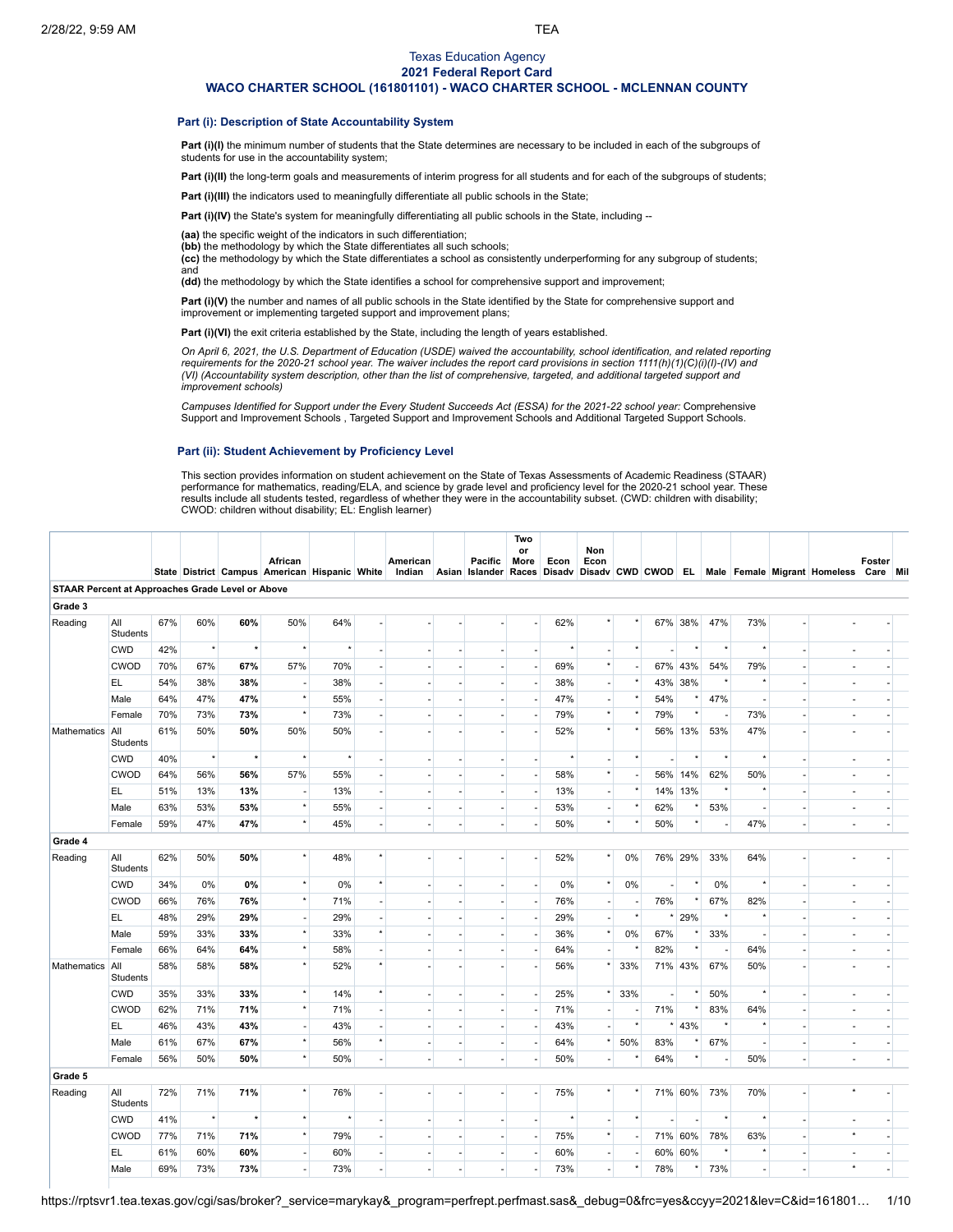## Texas Education Agency **2021 Federal Report Card**

**WACO CHARTER SCHOOL (161801101) - WACO CHARTER SCHOOL - MCLENNAN COUNTY**

## **Part (i): Description of State Accountability System**

Part (i)(I) the minimum number of students that the State determines are necessary to be included in each of the subgroups of students for use in the accountability system;

Part (i)(II) the long-term goals and measurements of interim progress for all students and for each of the subgroups of students;

**Part (i)(III)** the indicators used to meaningfully differentiate all public schools in the State;

**Part (i)(IV)** the State's system for meaningfully differentiating all public schools in the State, including --

**(aa)** the specific weight of the indicators in such differentiation;

**(bb)** the methodology by which the State differentiates all such schools;

**(cc)** the methodology by which the State differentiates a school as consistently underperforming for any subgroup of students; and

**(dd)** the methodology by which the State identifies a school for comprehensive support and improvement;

**Part (i)(V)** the number and names of all public schools in the State identified by the State for comprehensive support and improvement or implementing targeted support and improvement plans;

Part (i)(VI) the exit criteria established by the State, including the length of years established.

On April 6, 2021, the U.S. Department of Education (USDE) waived the accountability, school identification, and related reporting requirements for the 2020-21 school year. The waiver includes the report card provisions in section 1111(h)(1)(C)(i)(l)-(IV) and (VI) (Accountability system description, other than the list of comprehensive, targeted, and additional targeted support and *improvement schools)*

Campuses Identified for Support under the Every Student Succeeds Act (ESSA) for the 2021-22 school year: [Comprehensive](https://tea.texas.gov/sites/default/files/comprehensive_support_2021.xlsx) Support and Improvement Schools , Targeted Support and [Improvement](https://tea.texas.gov/sites/default/files/targeted_support_2021.xlsx) Schools and [Additional](https://tea.texas.gov/sites/default/files/additional_targeted_support_2021.xlsx) Targeted Support Schools.

# **Part (ii): Student Achievement by Proficiency Level**

This section provides information on student achievement on the State of Texas Assessments of Academic Readiness (STAAR) performance for mathematics, reading/ELA, and science by grade level and proficiency level for the 2020-21 school year. These results include all students tested, regardless of whether they were in the accountability subset. (CWD: children with disability; CWOD: children without disability; EL: English learner)

|                                                  |                 |     |          |         | African<br>State District Campus American Hispanic White |         |                          | American<br>Indian |                          | Pacific<br>Asian Islander Races Disadv | Two<br>or<br>More        | Econ     | Non<br>Econ              |         |     |          |         |         |                          | Disadv CWD CWOD EL Male Female Migrant Homeless | Foster<br>Care Mil |  |
|--------------------------------------------------|-----------------|-----|----------|---------|----------------------------------------------------------|---------|--------------------------|--------------------|--------------------------|----------------------------------------|--------------------------|----------|--------------------------|---------|-----|----------|---------|---------|--------------------------|-------------------------------------------------|--------------------|--|
| STAAR Percent at Approaches Grade Level or Above |                 |     |          |         |                                                          |         |                          |                    |                          |                                        |                          |          |                          |         |     |          |         |         |                          |                                                 |                    |  |
| Grade 3                                          |                 |     |          |         |                                                          |         |                          |                    |                          |                                        |                          |          |                          |         |     |          |         |         |                          |                                                 |                    |  |
| Reading                                          | All<br>Students | 67% | 60%      | 60%     | 50%                                                      | 64%     |                          |                    |                          |                                        |                          | 62%      |                          |         |     | 67% 38%  | 47%     | 73%     |                          |                                                 |                    |  |
|                                                  | <b>CWD</b>      | 42% | $\star$  | $\star$ | $\star$                                                  |         |                          |                    |                          |                                        |                          |          | ٠                        |         |     |          |         |         |                          |                                                 |                    |  |
|                                                  | CWOD            | 70% | 67%      | 67%     | 57%                                                      | 70%     |                          |                    |                          |                                        | $\overline{\phantom{a}}$ | 69%      | $\star$                  |         |     | 67% 43%  | 54%     | 79%     |                          |                                                 |                    |  |
|                                                  | EL.             | 54% | 38%      | 38%     | ÷,                                                       | 38%     |                          |                    |                          |                                        | ÷,                       | 38%      |                          |         |     | 43% 38%  |         |         |                          |                                                 |                    |  |
|                                                  | Male            | 64% | 47%      | 47%     | $^\star$                                                 | 55%     |                          |                    |                          |                                        | ÷,                       | 47%      |                          |         | 54% |          | 47%     |         |                          |                                                 |                    |  |
|                                                  | Female          | 70% | 73%      | 73%     | $\star$                                                  | 73%     |                          |                    |                          |                                        | ٠                        | 79%      | $\star$                  |         | 79% | $^\star$ |         | 73%     |                          |                                                 |                    |  |
| Mathematics                                      | All<br>Students | 61% | 50%      | 50%     | 50%                                                      | 50%     |                          |                    |                          |                                        |                          | 52%      | $\star$                  |         |     | 56% 13%  | 53%     | 47%     |                          |                                                 |                    |  |
|                                                  | <b>CWD</b>      | 40% | $^\star$ | $\star$ | $\star$                                                  | $\star$ | ×.                       |                    |                          | $\overline{\phantom{a}}$               | ÷,                       | $^\star$ | ÷                        |         |     | $\star$  |         |         | ÷                        |                                                 |                    |  |
|                                                  | CWOD            | 64% | 56%      | 56%     | 57%                                                      | 55%     |                          |                    |                          | $\overline{\phantom{a}}$               | $\overline{\phantom{a}}$ | 58%      | $\star$                  |         |     | 56% 14%  | 62%     | 50%     |                          |                                                 |                    |  |
|                                                  | EL.             | 51% | 13%      | 13%     | $\overline{\phantom{a}}$                                 | 13%     | ÷,                       |                    |                          | $\overline{a}$                         | $\overline{\phantom{a}}$ | 13%      | $\overline{a}$           |         |     | 14% 13%  |         | $\star$ |                          |                                                 |                    |  |
|                                                  | Male            | 63% | 53%      | 53%     | $^\star$                                                 | 55%     | L.                       |                    |                          | ÷,                                     | ÷,                       | 53%      | ä,                       |         | 62% |          | 53%     |         |                          |                                                 |                    |  |
|                                                  | Female          | 59% | 47%      | 47%     | $\star$                                                  | 45%     | $\sim$                   |                    | ä,                       | $\overline{\phantom{a}}$               | ÷,                       | 50%      | $\star$                  |         | 50% | $^\star$ |         | 47%     | ÷                        |                                                 | ÷                  |  |
| Grade 4                                          |                 |     |          |         |                                                          |         |                          |                    |                          |                                        |                          |          |                          |         |     |          |         |         |                          |                                                 |                    |  |
| Reading                                          | All<br>Students | 62% | 50%      | 50%     | $\star$                                                  | 48%     |                          |                    |                          |                                        |                          | 52%      |                          | 0%      |     | 76% 29%  | 33%     | 64%     |                          |                                                 |                    |  |
|                                                  | <b>CWD</b>      | 34% | 0%       | 0%      | $^\star$                                                 | 0%      | $\star$                  |                    |                          | ×                                      | $\overline{\phantom{a}}$ | 0%       | $\star$                  | 0%      |     |          | 0%      | $\star$ | ÷                        |                                                 |                    |  |
|                                                  | CWOD            | 66% | 76%      | 76%     | $^\star$                                                 | 71%     | ×.                       |                    |                          | $\sim$                                 | $\overline{\phantom{a}}$ | 76%      | ÷,                       |         | 76% |          | 67%     | 82%     |                          |                                                 |                    |  |
|                                                  | EL.             | 48% | 29%      | 29%     | ٠                                                        | 29%     | $\overline{\phantom{a}}$ |                    |                          | $\overline{a}$                         | $\overline{\phantom{a}}$ | 29%      | $\overline{\phantom{a}}$ |         |     | 29%      |         | $\star$ | $\overline{\phantom{a}}$ |                                                 |                    |  |
|                                                  | Male            | 59% | 33%      | 33%     | $^\star$                                                 | 33%     | $^\star$                 |                    |                          | ÷,                                     | ÷,                       | 36%      | $\star$                  | 0%      | 67% |          | 33%     |         |                          |                                                 |                    |  |
|                                                  | Female          | 66% | 64%      | 64%     | $^\star$                                                 | 58%     | ×.                       |                    |                          | $\sim$                                 | $\overline{\phantom{a}}$ | 64%      |                          |         | 82% |          |         | 64%     |                          |                                                 |                    |  |
| Mathematics                                      | All<br>Students | 58% | 58%      | 58%     | $^\star$                                                 | 52%     | $\star$                  |                    |                          |                                        | ÷.                       | 56%      |                          | 33%     |     | 71% 43%  | 67%     | 50%     |                          |                                                 |                    |  |
|                                                  | <b>CWD</b>      | 35% | 33%      | 33%     | $^\star$                                                 | 14%     | $^\star$                 |                    |                          | ÷,                                     | $\overline{\phantom{a}}$ | 25%      |                          | 33%     |     |          | 50%     |         | $\sim$                   |                                                 |                    |  |
|                                                  | <b>CWOD</b>     | 62% | 71%      | 71%     | $^\star$                                                 | 71%     | $\sim$                   |                    |                          | ÷.                                     | $\sim$                   | 71%      | $\overline{a}$           |         | 71% |          | 83%     | 64%     | ×.                       |                                                 |                    |  |
|                                                  | EL.             | 46% | 43%      | 43%     | $\overline{\phantom{a}}$                                 | 43%     | $\overline{\phantom{a}}$ |                    |                          | $\overline{\phantom{a}}$               | $\overline{\phantom{a}}$ | 43%      | $\overline{\phantom{a}}$ |         |     | 43%      |         |         | $\sim$                   |                                                 |                    |  |
|                                                  | Male            | 61% | 67%      | 67%     | $^\star$                                                 | 56%     | $^\star$                 |                    | $\overline{\phantom{a}}$ | $\overline{\phantom{a}}$               | $\overline{\phantom{a}}$ | 64%      |                          | 50%     | 83% |          | 67%     |         | $\sim$                   |                                                 |                    |  |
|                                                  | Female          | 56% | 50%      | 50%     | $^\star$                                                 | 50%     | $\sim$                   |                    | ÷,                       | ÷                                      | ÷,                       | 50%      |                          |         | 64% |          |         | 50%     | ÷,                       |                                                 |                    |  |
| Grade 5                                          |                 |     |          |         |                                                          |         |                          |                    |                          |                                        |                          |          |                          |         |     |          |         |         |                          |                                                 |                    |  |
| Reading                                          | All<br>Students | 72% | 71%      | 71%     | $^\star$                                                 | 76%     |                          |                    |                          |                                        | ÷.                       | 75%      | $\star$                  |         |     | 71% 60%  | 73%     | 70%     |                          |                                                 |                    |  |
|                                                  | <b>CWD</b>      | 41% | $^\star$ | $\star$ | $^\star$                                                 |         |                          |                    |                          |                                        |                          | $^\star$ |                          |         |     |          | $\star$ | $\star$ |                          |                                                 |                    |  |
|                                                  | CWOD            | 77% | 71%      | 71%     | $^\star$                                                 | 79%     | ÷.                       |                    |                          | ÷                                      | $\sim$                   | 75%      | $\star$                  |         |     | 71% 60%  | 78%     | 63%     | ÷                        |                                                 |                    |  |
|                                                  | EL.             | 61% | 60%      | 60%     | $\overline{\phantom{a}}$                                 | 60%     | $\overline{\phantom{a}}$ | ä,                 | ٠                        | $\sim$                                 | $\overline{\phantom{a}}$ | 60%      | ÷,                       |         |     | 60% 60%  |         |         | $\sim$                   |                                                 |                    |  |
|                                                  | Male            | 69% | 73%      | 73%     | ٠                                                        | 73%     | ÷                        | $\overline{a}$     | ÷                        | ÷                                      | ÷.                       | 73%      | ÷.                       | $\star$ | 78% |          | 73%     |         |                          | $\star$                                         |                    |  |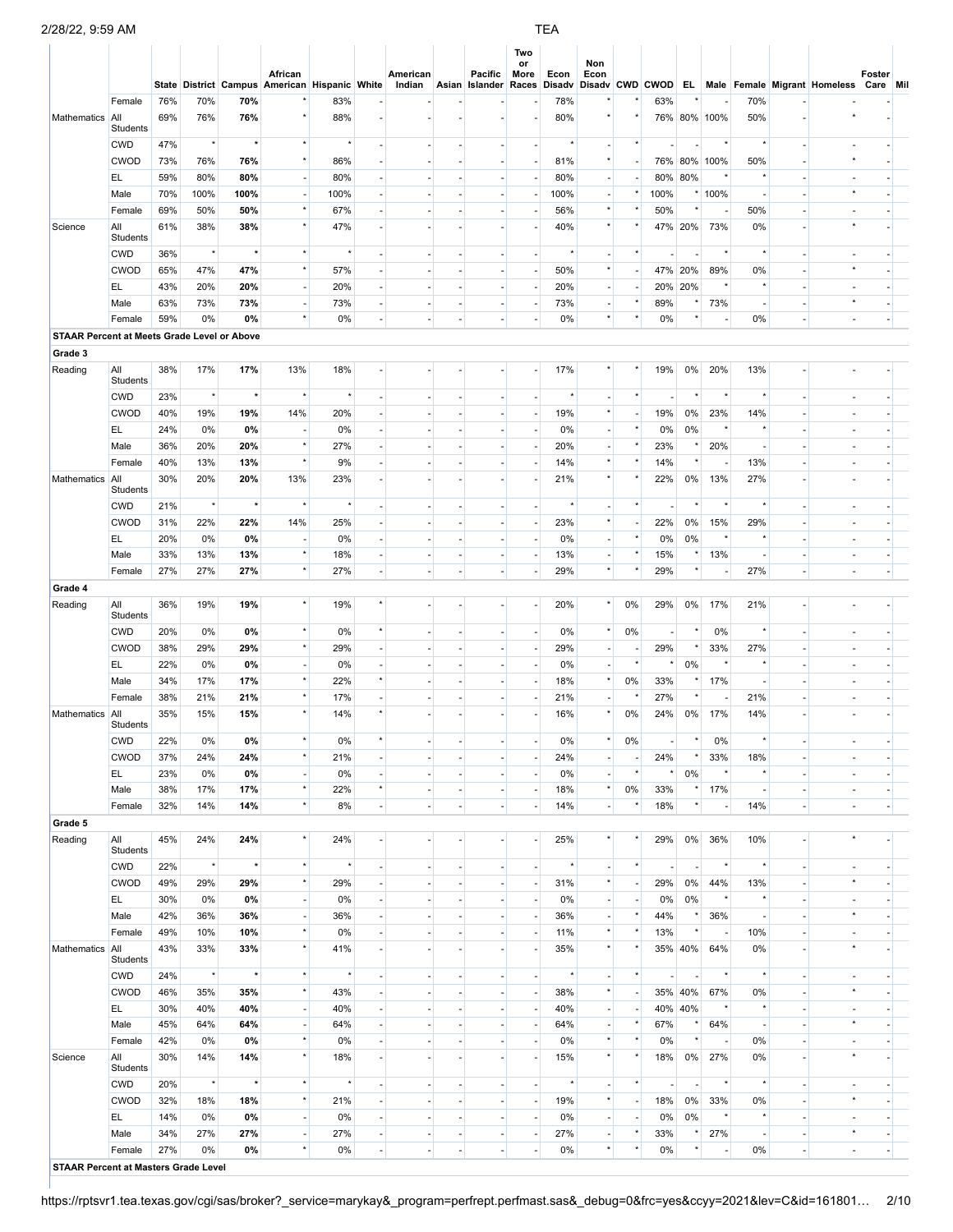|                                             |                           |            |            |              | African<br>State District Campus American Hispanic White |            |                                | American<br>Indian             |                                | <b>Pacific</b><br>Asian Islander Races Disadv | Two<br>or<br>More                  | Econ       | Non<br>Econ                                          |            |                          |                          |                                 |                |                          | Disady CWD CWOD EL Male Female Migrant Homeless | Foster<br>Care Mil       |  |
|---------------------------------------------|---------------------------|------------|------------|--------------|----------------------------------------------------------|------------|--------------------------------|--------------------------------|--------------------------------|-----------------------------------------------|------------------------------------|------------|------------------------------------------------------|------------|--------------------------|--------------------------|---------------------------------|----------------|--------------------------|-------------------------------------------------|--------------------------|--|
| Mathematics                                 | Female<br>All             | 76%<br>69% | 70%<br>76% | 70%<br>76%   | $\star$                                                  | 83%<br>88% |                                |                                |                                |                                               |                                    | 78%<br>80% |                                                      |            | 63%                      |                          | 76% 80% 100%                    | 70%<br>50%     |                          |                                                 |                          |  |
|                                             | Students<br><b>CWD</b>    | 47%        | $^\star$   | $\star$      | $^\star$                                                 |            | $\overline{\phantom{a}}$       | $\blacksquare$                 | $\sim$                         | $\sim$                                        | ٠                                  |            | $\overline{a}$                                       | $\star$    |                          | $\overline{a}$           | $^\star$                        |                | $\sim$                   |                                                 |                          |  |
|                                             | <b>CWOD</b>               | 73%        | 76%        | 76%          | $^\star$                                                 | 86%        | $\sim$                         |                                |                                |                                               | ٠                                  | 81%        | $^\star$                                             |            |                          |                          | 76% 80% 100%                    | 50%            |                          |                                                 |                          |  |
|                                             | EL.                       | 59%        | 80%        | 80%          | $\overline{\phantom{a}}$                                 | 80%        | $\sim$                         |                                | $\sim$                         | $\sim$                                        | ٠                                  | 80%        | $\overline{\phantom{a}}$                             |            |                          | 80% 80%                  | $\star$                         |                |                          |                                                 |                          |  |
|                                             | Male                      | 70%        | 100%       | 100%         | $\overline{\phantom{a}}$                                 | 100%       | ×.                             |                                | $\sim$                         | ×.                                            | ٠                                  | 100%       | $\overline{\phantom{a}}$                             |            | 100%                     |                          | * 100%                          |                | ÷.                       |                                                 |                          |  |
|                                             | Female                    | 69%        | 50%        | 50%          | $\star$                                                  | 67%        | $\overline{\phantom{a}}$       |                                | ٠                              | $\overline{\phantom{a}}$                      | ÷,                                 | 56%        | $\star$                                              |            | 50%                      |                          | $\overline{\phantom{a}}$        | 50%            | ٠                        |                                                 |                          |  |
| Science                                     | All                       | 61%        | 38%        | 38%          | $^\star$                                                 | 47%        |                                |                                |                                |                                               | ÷                                  | 40%        | $^\star$                                             |            |                          |                          | 47% 20% 73%                     | 0%             |                          |                                                 |                          |  |
|                                             | <b>Students</b>           |            | $^\star$   | $\pmb{\ast}$ | $^\star$                                                 | $\star$    |                                |                                |                                |                                               |                                    | $\star$    |                                                      | $^\star$   |                          |                          | $\star$                         | $^\star$       |                          |                                                 |                          |  |
|                                             | <b>CWD</b><br><b>CWOD</b> | 36%<br>65% | 47%        | 47%          | $^\star$                                                 | 57%        | $\overline{\phantom{a}}$       |                                | $\overline{\phantom{a}}$       | ×.                                            | $\overline{\phantom{a}}$<br>٠      |            | $\overline{\phantom{a}}$<br>$\star$                  |            | $\overline{\phantom{a}}$ | ÷.<br>47% 20%            | 89%                             | 0%             | $\sim$                   |                                                 |                          |  |
|                                             | EL.                       | 43%        | 20%        | 20%          | $\overline{\phantom{a}}$                                 | 20%        | $\sim$                         | $\sim$                         | $\blacksquare$                 | $\overline{\phantom{a}}$                      | $\sim$                             | 50%<br>20% | $\overline{\phantom{a}}$                             |            |                          | 20% 20%                  | $\star$                         | $\star$        | ÷,                       |                                                 |                          |  |
|                                             | Male                      | 63%        | 73%        | 73%          | $\overline{\phantom{a}}$                                 | 73%        | $\overline{\phantom{a}}$       |                                | $\overline{\phantom{a}}$       | $\overline{\phantom{a}}$                      | $\overline{\phantom{a}}$           | 73%        | $\overline{a}$                                       | $\star$    | 89%                      | $^\star$                 | 73%                             |                |                          |                                                 |                          |  |
|                                             | Female                    | 59%        | 0%         | 0%           | $^\star$                                                 | 0%         | $\sim$                         | $\overline{a}$                 | $\overline{\phantom{a}}$       | $\mathcal{L}$                                 | $\overline{\phantom{a}}$           | 0%         | $^\star$                                             | $\star$    | 0%                       | $^\star$                 | $\overline{\phantom{a}}$        | 0%             | ÷,                       | ÷,                                              | ÷,                       |  |
| STAAR Percent at Meets Grade Level or Above |                           |            |            |              |                                                          |            |                                |                                |                                |                                               |                                    |            |                                                      |            |                          |                          |                                 |                |                          |                                                 |                          |  |
| Grade 3                                     |                           |            |            |              |                                                          |            |                                |                                |                                |                                               |                                    |            |                                                      |            |                          |                          |                                 |                |                          |                                                 |                          |  |
| Reading                                     | All<br>Students           | 38%        | 17%        | 17%          | 13%                                                      | 18%        |                                |                                |                                |                                               | ٠                                  | 17%        |                                                      |            | 19%                      | $0\%$                    | 20%                             | 13%            |                          |                                                 |                          |  |
|                                             | <b>CWD</b>                | 23%        | $^\star$   | $\star$      | $\star$                                                  |            | $\sim$                         | $\blacksquare$                 | $\overline{\phantom{a}}$       |                                               | ٠                                  |            | $\overline{\phantom{a}}$                             | $^{\star}$ |                          | $\star$                  | $\star$                         |                | $\overline{\phantom{a}}$ |                                                 |                          |  |
|                                             | <b>CWOD</b>               | 40%        | 19%        | 19%          | 14%                                                      | 20%        | ÷.                             |                                | ×.                             | ÷.                                            | $\overline{\phantom{a}}$           | 19%        | $\star$                                              |            | 19%                      | 0%                       | 23%                             | 14%            |                          |                                                 |                          |  |
|                                             | EL.                       | 24%        | 0%         | 0%           | $\overline{\phantom{a}}$                                 | 0%         | $\overline{\phantom{a}}$       |                                | $\overline{\phantom{a}}$       |                                               | ٠                                  | 0%         | $\blacksquare$                                       | $^\star$   | 0%                       | 0%                       | $\star$                         |                |                          |                                                 |                          |  |
|                                             | Male                      | 36%        | 20%        | 20%          | $^\star$<br>$^\star$                                     | 27%        | ÷.                             |                                | ×.                             | $\sim$                                        | ٠                                  | 20%        | $\overline{\phantom{a}}$<br>$\star$                  | $\star$    | 23%                      | $^\star$<br>$\star$      | 20%                             | ٠              | ÷.                       |                                                 |                          |  |
| Mathematics                                 | Female<br>All             | 40%<br>30% | 13%<br>20% | 13%<br>20%   | 13%                                                      | 9%<br>23%  | $\overline{\phantom{a}}$       |                                | ٠                              | $\overline{\phantom{a}}$                      | ٠<br>÷                             | 14%<br>21% | $^\star$                                             |            | 14%<br>22%               | 0%                       | $\overline{\phantom{a}}$<br>13% | 13%<br>27%     |                          |                                                 |                          |  |
|                                             | Students<br><b>CWD</b>    | 21%        | $^\star$   | $\pmb{\ast}$ | $^\star$                                                 | $\star$    | ÷.                             |                                | ×.                             | ×.                                            | $\overline{\phantom{a}}$           |            | $\overline{\phantom{a}}$                             | $\star$    | $\blacksquare$           | $^\star$                 | $^\star$                        |                | $\sim$                   |                                                 |                          |  |
|                                             | CWOD                      | 31%        | 22%        | 22%          | 14%                                                      | 25%        |                                |                                |                                |                                               | ٠                                  | 23%        | $\star$                                              |            | 22%                      | 0%                       | 15%                             | 29%            |                          |                                                 |                          |  |
|                                             | EL.                       | 20%        | 0%         | 0%           | $\overline{\phantom{a}}$                                 | 0%         | $\overline{\phantom{a}}$       | ÷,                             | ä,                             | ×.                                            | $\sim$                             | 0%         | $\overline{\phantom{a}}$                             | $\star$    | 0%                       | 0%                       | $^\star$                        |                | ä,                       |                                                 |                          |  |
|                                             | Male                      | 33%        | 13%        | 13%          | $^\star$                                                 | 18%        | $\overline{\phantom{a}}$       |                                | $\overline{\phantom{a}}$       | $\overline{\phantom{a}}$                      | $\overline{\phantom{a}}$           | 13%        | $\blacksquare$                                       | $\star$    | 15%                      | $^\star$                 | 13%                             |                |                          |                                                 |                          |  |
|                                             | Female                    | 27%        | 27%        | 27%          | $^\star$                                                 | 27%        | $\overline{\phantom{a}}$       |                                | ÷.                             | ×.                                            | $\overline{\phantom{a}}$           | 29%        | $^\star$                                             |            | 29%                      | $^\star$                 | $\overline{\phantom{a}}$        | 27%            | ÷,                       |                                                 |                          |  |
| Grade 4                                     |                           |            |            |              |                                                          |            |                                |                                |                                |                                               |                                    |            |                                                      |            |                          |                          |                                 |                |                          |                                                 |                          |  |
| Reading                                     | All<br>Students           | 36%        | 19%        | 19%          | $^\star$                                                 | 19%        |                                |                                |                                |                                               | ÷.                                 | 20%        | $^\star$                                             | 0%         | 29%                      | $0\%$                    | 17%                             | 21%            |                          |                                                 |                          |  |
|                                             | <b>CWD</b>                | 20%        | 0%         | 0%           | $^\star$                                                 | 0%         | $\star$                        |                                | ä,                             | ×.                                            | $\sim$                             | 0%         | $^\star$                                             | 0%         | $\overline{\phantom{a}}$ | $^\star$                 | 0%                              |                |                          |                                                 |                          |  |
|                                             | <b>CWOD</b>               | 38%        | 29%        | 29%          | $^\star$                                                 | 29%        |                                |                                |                                |                                               | $\overline{\phantom{a}}$           | 29%        | $\overline{\phantom{a}}$                             | $\star$    | 29%<br>$\star$           | $^\star$                 | 33%<br>$^\star$                 | 27%            |                          |                                                 |                          |  |
|                                             | EL.<br>Male               | 22%<br>34% | 0%<br>17%  | 0%<br>17%    | $\overline{\phantom{a}}$<br>$^\star$                     | 0%<br>22%  | ÷.<br>$^\star$                 |                                | $\sim$                         | $\sim$                                        | $\sim$<br>$\overline{\phantom{a}}$ | 0%<br>18%  | $\overline{\phantom{a}}$<br>$^\star$                 | 0%         | 33%                      | 0%<br>$^\star$           | 17%                             |                |                          |                                                 |                          |  |
|                                             | Female                    | 38%        | 21%        | 21%          | $^\star$                                                 | 17%        | ÷.                             |                                | $\overline{\phantom{a}}$       | ×.                                            | $\overline{\phantom{a}}$           | 21%        | $\overline{a}$                                       |            | 27%                      | $^\star$                 | $\overline{\phantom{a}}$        | 21%            |                          |                                                 |                          |  |
| Mathematics                                 | All<br>Students           | 35%        | 15%        | 15%          | $\star$                                                  | 14%        |                                |                                |                                |                                               |                                    | 16%        | $\star$                                              | 0%         | 24%                      | $0\%$                    | 17%                             | 14%            |                          |                                                 |                          |  |
|                                             | <b>CWD</b>                | 22%        | $0\%$      | 0%           |                                                          | 0%         |                                |                                |                                |                                               |                                    | 0%         |                                                      | 0%         |                          |                          | 0%                              |                |                          |                                                 |                          |  |
|                                             | <b>CWOD</b>               | 37%        | 24%        | 24%          | $^\star$                                                 | 21%        |                                |                                |                                |                                               | ٠                                  | 24%        | $\overline{\phantom{a}}$                             |            | 24%                      |                          | 33%                             | 18%            |                          |                                                 |                          |  |
|                                             | EL.                       | 23%        | 0%         | 0%           | $\blacksquare$                                           | 0%         | ×.                             |                                |                                |                                               | $\blacksquare$                     | 0%         | $\blacksquare$                                       | $\star$    |                          | 0%                       |                                 |                |                          |                                                 |                          |  |
|                                             | Male                      | 38%        | 17%        | 17%          | $^\star$                                                 | 22%        | $\star$                        | ٠                              | $\overline{\phantom{a}}$       | $\overline{\phantom{a}}$                      | ٠                                  | 18%        | $^\star$                                             | 0%         | 33%                      |                          | 17%                             |                |                          |                                                 |                          |  |
|                                             | Female                    | 32%        | 14%        | 14%          | $^\star$                                                 | 8%         |                                |                                |                                |                                               | ÷.                                 | 14%        | $\overline{a}$                                       |            | 18%                      | $\star$                  |                                 | 14%            |                          |                                                 |                          |  |
| Grade 5<br>Reading                          | All<br>Students           | 45%        | 24%        | 24%          | $\star$                                                  | 24%        |                                |                                |                                |                                               | ÷.                                 | 25%        | $\star$                                              |            | 29%                      | $0\%$                    | 36%                             | 10%            |                          |                                                 |                          |  |
|                                             | <b>CWD</b>                | 22%        | $^\star$   | $\star$      | $^\star$                                                 |            |                                |                                |                                |                                               | $\blacksquare$                     |            | $\overline{a}$                                       | $\star$    |                          |                          | $\star$                         |                |                          |                                                 |                          |  |
|                                             | <b>CWOD</b>               | 49%        | 29%        | 29%          | $\star$                                                  | 29%        |                                |                                |                                |                                               | ٠                                  | 31%        | $^\star$                                             |            | 29%                      | 0%                       | 44%                             | 13%            |                          |                                                 |                          |  |
|                                             | EL.                       | 30%        | 0%         | 0%           | ÷,                                                       | 0%         |                                |                                |                                |                                               | $\overline{\phantom{a}}$           | 0%         | $\blacksquare$                                       |            | 0%                       | 0%                       |                                 |                |                          |                                                 |                          |  |
|                                             | Male                      | 42%        | 36%        | 36%          | $\overline{\phantom{a}}$                                 | 36%        |                                |                                |                                |                                               | ٠                                  | 36%        | $\overline{\phantom{a}}$                             |            | 44%                      |                          | 36%                             |                |                          |                                                 |                          |  |
|                                             | Female                    | 49%        | 10%        | 10%          | $^\star$                                                 | 0%         |                                |                                |                                |                                               |                                    | 11%        | $\star$                                              |            | 13%                      | $\star$                  |                                 | 10%            |                          |                                                 |                          |  |
| Mathematics                                 | All<br>Students           | 43%        | 33%        | 33%          | $^\star$                                                 | 41%        |                                |                                |                                |                                               |                                    | 35%        | $^\star$                                             |            |                          | 35% 40%                  | 64%                             | 0%             |                          |                                                 |                          |  |
|                                             | <b>CWD</b>                | 24%        | $^\star$   |              | $^\star$                                                 |            | $\overline{\phantom{a}}$       | $\overline{a}$                 | $\overline{\phantom{a}}$       | $\overline{\phantom{a}}$                      | ٠                                  |            | $\overline{\phantom{m}}$                             | $\star$    |                          | $\overline{\phantom{a}}$ | $^\star$                        | $\star$        | $\overline{\phantom{a}}$ |                                                 |                          |  |
|                                             | <b>CWOD</b>               | 46%        | 35%        | 35%          | $^\star$                                                 | 43%        | ÷.                             |                                | ×.                             | ×.                                            | $\mathcal{L}_{\mathcal{A}}$        | 38%        | $\star$                                              |            |                          | 35% 40%                  | 67%                             | 0%             |                          |                                                 |                          |  |
|                                             | EL.<br>Male               | 30%<br>45% | 40%<br>64% | 40%<br>64%   | $\overline{\phantom{a}}$<br>$\overline{\phantom{a}}$     | 40%<br>64% | $\overline{\phantom{a}}$<br>÷. | $\overline{a}$                 | $\overline{\phantom{a}}$<br>×. | $\overline{\phantom{a}}$<br>$\sim$            | ٠<br>٠                             | 40%<br>64% | $\overline{\phantom{a}}$<br>$\overline{\phantom{a}}$ | $\star$    | 67%                      | 40% 40%<br>$^\star$      | 64%                             | ٠              | ×.                       | $\star$                                         | $\sim$                   |  |
|                                             | Female                    | 42%        | 0%         | 0%           | $\star$                                                  | 0%         | $\overline{\phantom{a}}$       | $\overline{a}$                 | $\overline{\phantom{a}}$       | $\overline{\phantom{a}}$                      | ٠                                  | 0%         | $^\star$                                             |            | 0%                       | $\star$                  | $\overline{\phantom{a}}$        | 0%             | $\overline{\phantom{a}}$ |                                                 | $\overline{a}$           |  |
| Science                                     | All<br>Students           | 30%        | 14%        | 14%          | $\star$                                                  | 18%        |                                |                                |                                |                                               | ٠                                  | 15%        | $^\star$                                             |            | 18%                      | $0\%$                    | 27%                             | 0%             |                          |                                                 |                          |  |
|                                             | <b>CWD</b>                | 20%        | $^\star$   | $\star$      | $^\star$<br>$^\star$                                     |            | $\overline{\phantom{a}}$       | $\overline{\phantom{a}}$       | $\overline{\phantom{a}}$       | $\overline{\phantom{a}}$                      | H.                                 |            | $\overline{\phantom{a}}$<br>$\star$                  | $^\star$   | $\overline{\phantom{a}}$ | $\overline{\phantom{a}}$ | $^\star$                        | $^\star$       | $\overline{\phantom{a}}$ |                                                 |                          |  |
|                                             | <b>CWOD</b><br>EL.        | 32%<br>14% | 18%<br>0%  | 18%<br>0%    |                                                          | 21%<br>0%  | $\overline{\phantom{a}}$       |                                | ٠                              | $\overline{\phantom{a}}$                      | $\overline{\phantom{a}}$<br>$\sim$ | 19%<br>0%  |                                                      |            | 18%                      | 0%<br>0%                 | 33%<br>$^\star$                 | 0%<br>$\star$  | $\overline{\phantom{a}}$ |                                                 |                          |  |
|                                             | Male                      | 34%        | 27%        | 27%          | $\overline{\phantom{a}}$<br>$\overline{\phantom{a}}$     | 27%        | $\overline{\phantom{a}}$       | $\overline{\phantom{a}}$<br>÷, | $\overline{\phantom{a}}$       | $\sim$                                        | $\overline{\phantom{a}}$           | 27%        | $\overline{\phantom{a}}$<br>÷,                       | $\star$    | 0%<br>33%                |                          | 27%                             | $\overline{a}$ |                          |                                                 | $\overline{\phantom{a}}$ |  |
|                                             | Female                    | 27%        | 0%         | 0%           | $^\star$                                                 | 0%         | $\overline{\phantom{a}}$       | $\overline{a}$                 | $\overline{\phantom{a}}$       | ×.                                            | $\overline{\phantom{a}}$           | 0%         | $\star$                                              | $\star$    | 0%                       | $^\star$                 | $\overline{\phantom{a}}$        | 0%             | ÷,                       | ٠                                               | ÷,                       |  |
| <b>STAAR Percent at Masters Grade Level</b> |                           |            |            |              |                                                          |            |                                |                                |                                |                                               |                                    |            |                                                      |            |                          |                          |                                 |                |                          |                                                 |                          |  |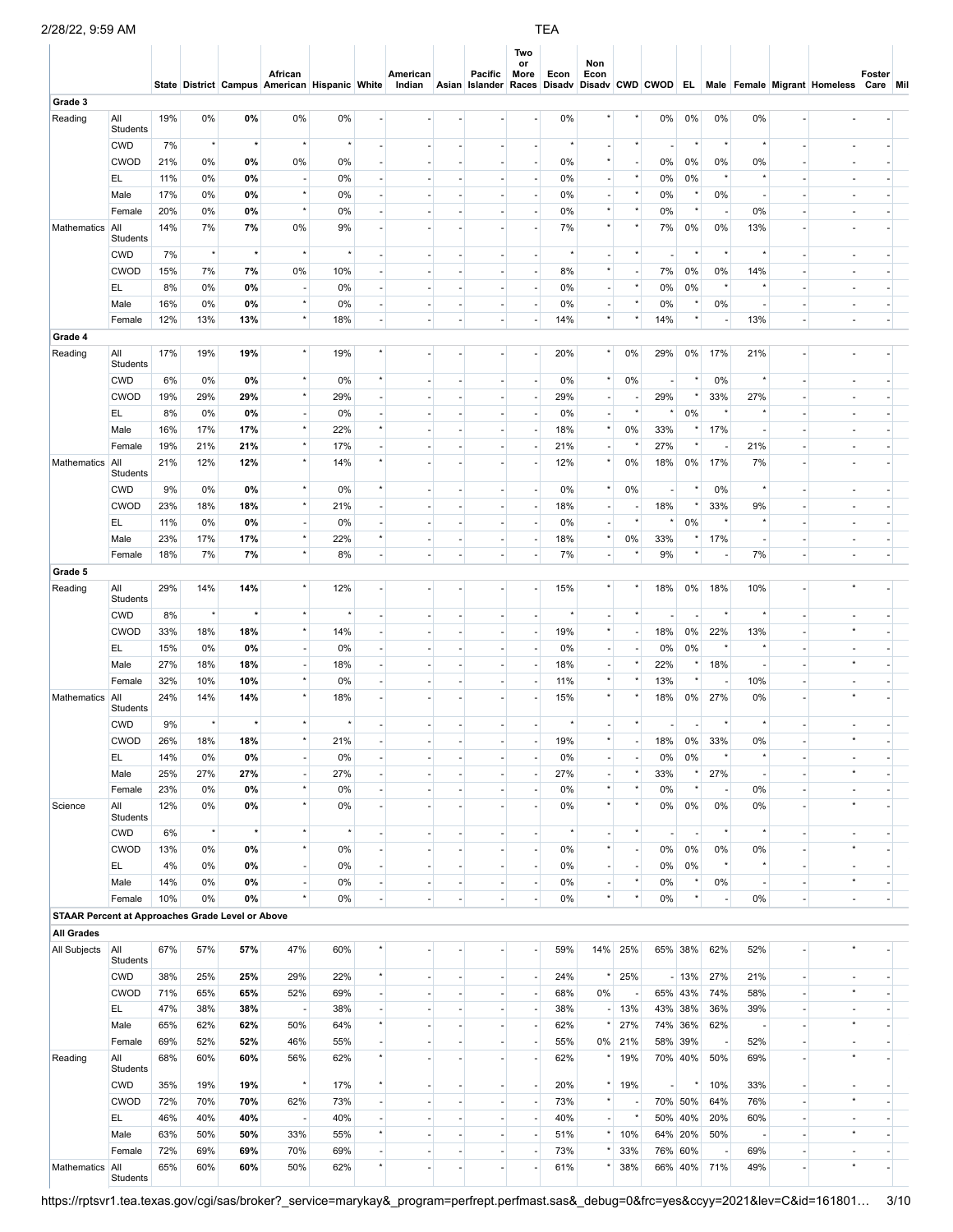# 2/28/22, 9:59 AM TEA

|                                                         |                        |            |           |           | African<br>State District Campus American Hispanic White |                 |                          | American<br>Indian |                          | Pacific<br>Asian Islander Races | Two<br>or<br>More        | Econ           | Non<br>Econ              |          |                          |                |                          |                |                          | Disadv Disadv CWD CWOD EL Male Female Migrant Homeless | Foster<br>Care Mil |  |
|---------------------------------------------------------|------------------------|------------|-----------|-----------|----------------------------------------------------------|-----------------|--------------------------|--------------------|--------------------------|---------------------------------|--------------------------|----------------|--------------------------|----------|--------------------------|----------------|--------------------------|----------------|--------------------------|--------------------------------------------------------|--------------------|--|
| Grade 3                                                 |                        |            |           |           |                                                          |                 |                          |                    |                          |                                 |                          |                |                          |          |                          |                |                          |                |                          |                                                        |                    |  |
| Reading                                                 | All<br>Students        | 19%        | 0%        | 0%        | 0%                                                       | 0%              |                          |                    |                          |                                 |                          | 0%             |                          |          | 0%                       | 0%             | 0%                       | 0%             |                          |                                                        |                    |  |
|                                                         | <b>CWD</b>             | 7%         | $^\star$  | $\star$   | $\star$                                                  |                 |                          |                    |                          |                                 |                          |                |                          |          |                          |                |                          |                |                          |                                                        |                    |  |
|                                                         | <b>CWOD</b>            | 21%        | 0%        | 0%        | 0%                                                       | 0%              |                          |                    |                          |                                 |                          | 0%             |                          |          | 0%                       | 0%             | 0%                       | 0%             |                          |                                                        |                    |  |
|                                                         | EL                     | 11%        | 0%        | 0%        |                                                          | 0%              |                          |                    |                          |                                 |                          | 0%             |                          |          | 0%                       | 0%             |                          |                |                          |                                                        |                    |  |
|                                                         | Male                   | 17%        | 0%        | 0%        | $^\star$                                                 | 0%              |                          |                    |                          |                                 |                          | 0%             |                          |          | 0%                       |                | 0%                       |                |                          |                                                        |                    |  |
|                                                         | Female                 | 20%        | 0%        | 0%        | $\star$                                                  | 0%              |                          |                    |                          |                                 |                          | 0%             |                          |          | 0%                       | $^\star$       |                          | 0%             |                          |                                                        |                    |  |
| Mathematics                                             | All<br>Students        | 14%        | 7%        | 7%        | 0%                                                       | 9%              |                          |                    |                          |                                 |                          | 7%             |                          |          | 7%                       | 0%             | 0%                       | 13%            |                          |                                                        |                    |  |
|                                                         | <b>CWD</b>             | 7%         | $^\star$  | $\star$   | $^\star$                                                 | $^\star$        |                          |                    | ٠                        |                                 | $\overline{\phantom{a}}$ | $\star$        |                          | $^\star$ | $\overline{\phantom{a}}$ | $\star$        | $\star$                  |                | ÷                        |                                                        |                    |  |
|                                                         | <b>CWOD</b>            | 15%        | 7%        | 7%        | 0%                                                       | 10%             |                          |                    | ٠                        |                                 | $\sim$                   | 8%             | $^\star$                 |          | 7%                       | 0%             | 0%                       | 14%            | ÷.                       |                                                        |                    |  |
|                                                         | EL                     | 8%         | 0%        | 0%        | $\overline{a}$                                           | 0%              | ÷,                       |                    |                          |                                 | $\overline{\phantom{a}}$ | 0%             |                          | $^\star$ | 0%                       | 0%             | $\star$                  |                |                          |                                                        |                    |  |
|                                                         | Male                   | 16%        | 0%        | 0%        | $^\star$                                                 | 0%              | ÷.                       |                    | ×.                       | $\overline{a}$                  | $\overline{\phantom{a}}$ | 0%             |                          | $^\star$ | 0%                       | $\star$        | 0%                       |                | ÷.                       |                                                        |                    |  |
|                                                         | Female                 | 12%        | 13%       | 13%       | $^\star$                                                 | 18%             | $\overline{\phantom{a}}$ |                    | $\overline{\phantom{a}}$ | $\sim$                          | $\overline{\phantom{a}}$ | 14%            |                          |          | 14%                      | $^\star$       | $\overline{\phantom{a}}$ | 13%            | $\overline{\phantom{a}}$ |                                                        |                    |  |
| Grade 4                                                 |                        |            |           |           |                                                          |                 |                          |                    |                          |                                 |                          |                |                          |          |                          |                |                          |                |                          |                                                        |                    |  |
| Reading                                                 | All<br>Students        | 17%        | 19%       | 19%       | $\star$                                                  | 19%             |                          |                    |                          |                                 |                          | 20%            |                          | 0%       | 29%                      | $0\%$          | 17%                      | 21%            |                          |                                                        |                    |  |
|                                                         | <b>CWD</b>             | 6%         | 0%        | 0%        | $\star$                                                  | 0%              |                          |                    | ٠                        | ٠                               | $\overline{\phantom{a}}$ | 0%             |                          | 0%       | $\overline{\phantom{a}}$ | $\star$        | 0%                       |                | $\overline{\phantom{a}}$ |                                                        |                    |  |
|                                                         | <b>CWOD</b>            | 19%        | 29%       | 29%       | $^\star$                                                 | 29%             |                          |                    |                          |                                 | $\overline{\phantom{a}}$ | 29%            |                          |          | 29%                      | $^\star$       | 33%                      | 27%            | $\overline{\phantom{a}}$ |                                                        |                    |  |
|                                                         | EL                     | 8%         | 0%        | 0%        | ٠                                                        | 0%              | $\sim$                   |                    | ÷                        |                                 | $\overline{\phantom{a}}$ | 0%             |                          | $^\star$ |                          | 0%             | $\star$                  |                | $\overline{\phantom{a}}$ |                                                        |                    |  |
|                                                         | Male                   | 16%        | 17%       | 17%       | $^\star$                                                 | 22%             | $^\star$                 |                    |                          |                                 | $\sim$                   | 18%            | $\star$                  | 0%       | 33%                      | $^\star$       | 17%                      |                | ÷.                       |                                                        |                    |  |
|                                                         | Female                 | 19%        | 21%       | 21%       | $^\star$                                                 | 17%             |                          |                    |                          | ٠                               | $\overline{\phantom{a}}$ | 21%            |                          |          | 27%                      |                |                          | 21%            | $\overline{\phantom{a}}$ |                                                        |                    |  |
| Mathematics                                             | All<br>Students        | 21%        | 12%       | 12%       | $^\star$                                                 | 14%             | $^\star$                 |                    |                          |                                 | ÷.                       | 12%            |                          | 0%       | 18%                      | 0%             | 17%                      | 7%             |                          |                                                        |                    |  |
|                                                         | <b>CWD</b>             | 9%         | 0%        | 0%        | $^\star$                                                 | 0%              | $\star$                  |                    | $\sim$                   |                                 | $\overline{\phantom{a}}$ | 0%             | $\star$                  | 0%       | $\blacksquare$           | $^\star$       | 0%                       |                | $\overline{\phantom{a}}$ |                                                        |                    |  |
|                                                         | <b>CWOD</b>            | 23%        | 18%       | 18%       | $^\star$                                                 | 21%             |                          |                    |                          |                                 | ÷,                       | 18%            |                          |          | 18%                      | $\star$        | 33%                      | 9%             |                          |                                                        |                    |  |
|                                                         | EL.                    | 11%        | 0%        | 0%        | $\overline{\phantom{a}}$                                 | 0%              | $\overline{\phantom{a}}$ |                    | $\overline{\phantom{a}}$ |                                 | $\overline{\phantom{a}}$ | 0%             | $\overline{a}$           | $\star$  |                          | 0%             |                          |                | $\overline{\phantom{a}}$ |                                                        |                    |  |
|                                                         | Male                   | 23%        | 17%       | 17%       | $^\star$                                                 | 22%             | $\star$                  |                    | ٠                        |                                 | $\overline{\phantom{a}}$ | 18%            | $^\star$                 | 0%       | 33%                      | $\star$        | 17%                      |                | ÷,                       |                                                        |                    |  |
|                                                         | Female                 | 18%        | 7%        | 7%        | $^\star$                                                 | 8%              | ÷.                       |                    | $\sim$                   |                                 | $\overline{\phantom{a}}$ | 7%             |                          |          | 9%                       | $^\star$       | $\overline{\phantom{a}}$ | 7%             | $\overline{\phantom{a}}$ |                                                        |                    |  |
| Grade 5                                                 |                        |            |           |           | $\star$                                                  |                 |                          |                    |                          |                                 |                          |                |                          |          |                          |                |                          |                |                          |                                                        |                    |  |
| Reading                                                 | All<br>Students        | 29%        | 14%       | 14%       |                                                          | 12%<br>$^\star$ |                          |                    |                          |                                 |                          | 15%<br>$\star$ |                          | $\star$  | 18%                      | 0%             | 18%                      | 10%            |                          |                                                        |                    |  |
|                                                         | <b>CWD</b>             | 8%         | $^\star$  |           | $^\star$<br>$^\star$                                     |                 |                          |                    | ٠                        |                                 | $\overline{\phantom{a}}$ |                | $^\star$                 |          | $\blacksquare$           | $\sim$         | $\star$                  |                | $\overline{\phantom{a}}$ |                                                        |                    |  |
|                                                         | <b>CWOD</b><br>EL.     | 33%        | 18%<br>0% | 18%       |                                                          | 14%             |                          |                    |                          |                                 | $\overline{\phantom{a}}$ | 19%<br>0%      |                          |          | 18%                      | $0\%$          | 22%<br>$\star$           | 13%            | $\overline{\phantom{a}}$ |                                                        |                    |  |
|                                                         | Male                   | 15%<br>27% | 18%       | 0%<br>18% | $\overline{\phantom{a}}$<br>$\blacksquare$               | 0%<br>18%       |                          |                    | ٠                        |                                 | $\overline{\phantom{a}}$ | 18%            | $\overline{\phantom{a}}$ |          | 0%<br>22%                | 0%<br>$^\star$ | 18%                      |                |                          |                                                        |                    |  |
|                                                         | Female                 | 32%        | 10%       | 10%       | $\star$                                                  | 0%              |                          |                    |                          |                                 | $\overline{\phantom{a}}$ | 11%            |                          |          | 13%                      | $\star$        | $\overline{\phantom{a}}$ | 10%            |                          |                                                        |                    |  |
| Mathematics                                             | All<br>Students        | 24%        | 14%       | 14%       | $\star$                                                  | 18%             |                          |                    |                          |                                 |                          | 15%            |                          |          | 18%                      | 0%             | 27%                      | 0%             |                          |                                                        |                    |  |
|                                                         | <b>CWD</b>             | 9%         | $^\star$  |           |                                                          |                 |                          |                    |                          |                                 |                          | $^\star$       |                          |          |                          |                |                          |                | $\overline{\phantom{a}}$ |                                                        |                    |  |
|                                                         | CWOD                   | 26%        | 18%       | 18%       |                                                          | 21%             |                          |                    |                          |                                 |                          | 19%            |                          |          | 18%                      | 0%             | 33%                      | 0%             |                          |                                                        |                    |  |
|                                                         | EL                     | 14%        | 0%        | 0%        | ٠                                                        | 0%              |                          |                    |                          |                                 |                          | 0%             |                          |          | 0%                       | 0%             |                          |                |                          |                                                        |                    |  |
|                                                         | Male                   | 25%        | 27%       | 27%       | $\overline{\phantom{a}}$                                 | 27%             | ÷,                       |                    | $\overline{\phantom{a}}$ |                                 | $\overline{\phantom{a}}$ | 27%            | $\overline{\phantom{a}}$ |          | 33%                      |                | 27%                      |                | ÷,                       |                                                        |                    |  |
|                                                         | Female                 | 23%        | 0%        | 0%        | $^\star$                                                 | 0%              |                          |                    |                          |                                 |                          | 0%             | $\star$                  |          | 0%                       | $^\star$       |                          | 0%             |                          |                                                        |                    |  |
| Science                                                 | All<br>Students        | 12%        | 0%        | 0%        | $\star$                                                  | 0%              |                          |                    |                          |                                 | ÷,                       | 0%             | $\star$                  |          | 0%                       | $0\%$          | 0%                       | 0%             |                          |                                                        |                    |  |
|                                                         | <b>CWD</b>             | 6%         | $^\star$  | $\star$   | $^\star$                                                 | $^\star$        | $\sim$                   |                    | $\sim$                   | $\sim$                          | $\overline{\phantom{a}}$ | $^\star$       | $\overline{\phantom{a}}$ | $\star$  | $\overline{\phantom{a}}$ | $\sim$         | $^\star$                 | $^\star$       | $\overline{\phantom{a}}$ |                                                        |                    |  |
|                                                         | <b>CWOD</b>            | 13%        | 0%        | 0%        | $^\star$                                                 | 0%              | ä,                       |                    | $\sim$                   | ÷.                              | $\sim$                   | 0%             | $\star$                  | $\sim$   | 0%                       | 0%             | 0%                       | 0%             | ÷,                       | $^\star$                                               |                    |  |
|                                                         | EL.                    | 4%         | 0%        | 0%        | $\overline{\phantom{a}}$                                 | 0%              | $\overline{\phantom{a}}$ |                    | $\overline{\phantom{a}}$ | $\overline{\phantom{a}}$        | $\overline{\phantom{a}}$ | 0%             | $\overline{\phantom{a}}$ |          | 0%                       | 0%             | $^\star$                 |                | $\overline{\phantom{a}}$ |                                                        |                    |  |
|                                                         | Male                   | 14%        | $0\%$     | 0%        | $\overline{a}$                                           | 0%              | $\sim$                   |                    | $\sim$                   | ×.                              | $\Box$                   | 0%             | $\overline{\phantom{a}}$ | $\star$  | 0%                       | $^\star$       | $0\%$                    | $\overline{a}$ | $\sim$                   | $\star$                                                |                    |  |
|                                                         | Female                 | 10%        | 0%        | 0%        | $^\star$                                                 | 0%              | ٠                        |                    | $\overline{\phantom{a}}$ | ä,                              | $\overline{\phantom{a}}$ | 0%             | $\star$                  | $^\star$ | 0%                       | $^\star$       | $\overline{\phantom{a}}$ | 0%             | $\overline{\phantom{a}}$ |                                                        |                    |  |
| <b>STAAR Percent at Approaches Grade Level or Above</b> |                        |            |           |           |                                                          |                 |                          |                    |                          |                                 |                          |                |                          |          |                          |                |                          |                |                          |                                                        |                    |  |
| <b>All Grades</b><br>All Subjects                       | All                    | 67%        | 57%       | 57%       | 47%                                                      | 60%             |                          |                    |                          |                                 |                          | 59%            | 14%                      | 25%      |                          | 65% 38%        | 62%                      | 52%            |                          |                                                        |                    |  |
|                                                         | Students<br><b>CWD</b> | 38%        | 25%       | 25%       | 29%                                                      | 22%             | $^\star$                 |                    |                          |                                 | $\overline{\phantom{a}}$ | 24%            | $\star$                  | 25%      |                          | $-13%$         | 27%                      | 21%            | $\overline{\phantom{a}}$ |                                                        |                    |  |
|                                                         | <b>CWOD</b>            | 71%        | 65%       | 65%       | 52%                                                      | 69%             |                          |                    |                          |                                 | $\overline{\phantom{a}}$ | 68%            | 0%                       |          |                          | 65% 43%        | 74%                      | 58%            | ÷                        |                                                        |                    |  |
|                                                         | EL.                    | 47%        | 38%       | 38%       | $\overline{\phantom{a}}$                                 | 38%             |                          |                    |                          |                                 |                          | 38%            |                          | 13%      |                          | 43% 38%        | 36%                      | 39%            |                          |                                                        |                    |  |
|                                                         | Male                   | 65%        | 62%       | 62%       | 50%                                                      | 64%             | $\star$                  |                    |                          |                                 | $\overline{\phantom{a}}$ | 62%            |                          | 27%      |                          | 74% 36%        | 62%                      |                | $\overline{\phantom{a}}$ |                                                        |                    |  |
|                                                         | Female                 | 69%        | 52%       | 52%       | 46%                                                      | 55%             |                          |                    |                          |                                 | $\overline{\phantom{a}}$ | 55%            | 0%                       | 21%      |                          | 58% 39%        |                          | 52%            |                          |                                                        |                    |  |
| Reading                                                 | All                    | 68%        | 60%       | 60%       | 56%                                                      | 62%             | $\star$                  |                    |                          |                                 |                          | 62%            |                          | 19%      |                          | 70% 40%        | 50%                      | 69%            | ÷                        |                                                        |                    |  |
|                                                         | Students<br><b>CWD</b> | 35%        | 19%       | 19%       | $^\star$                                                 | 17%             | $^\star$                 |                    | $\overline{\phantom{a}}$ | $\overline{\phantom{a}}$        | $\overline{\phantom{a}}$ | 20%            | $\star$                  | 19%      | $\overline{\phantom{a}}$ | $^\star$       | 10%                      | 33%            | $\overline{\phantom{a}}$ |                                                        |                    |  |
|                                                         | <b>CWOD</b>            | 72%        | 70%       | 70%       | 62%                                                      | 73%             | $\overline{\phantom{a}}$ |                    | $\sim$                   | $\sim$                          | $\overline{\phantom{a}}$ | 73%            | $\star$                  |          |                          | 70% 50%        | 64%                      | 76%            | ÷,                       | $\star$                                                |                    |  |
|                                                         | EL.                    | 46%        | 40%       | 40%       | $\overline{\phantom{a}}$                                 | 40%             | $\overline{\phantom{a}}$ |                    | ٠                        | $\overline{\phantom{a}}$        | $\overline{\phantom{a}}$ | 40%            | $\overline{\phantom{a}}$ |          |                          | 50% 40%        | 20%                      | 60%            | $\overline{\phantom{a}}$ |                                                        |                    |  |
|                                                         | Male                   | 63%        | 50%       | 50%       | 33%                                                      | 55%             | $^\star$                 |                    | $\sim$                   | ÷.                              | $\Box$                   | 51%            | $\star$                  | 10%      |                          | 64% 20%        | 50%                      |                | $\overline{\phantom{a}}$ |                                                        |                    |  |
|                                                         | Female                 | 72%        | 69%       | 69%       | 70%                                                      | 69%             | $\overline{\phantom{a}}$ |                    | $\overline{\phantom{a}}$ | $\overline{\phantom{a}}$        | $\overline{\phantom{a}}$ | 73%            |                          | 33%      |                          | 76% 60%        | $\overline{\phantom{a}}$ | 69%            | $\overline{\phantom{a}}$ |                                                        |                    |  |
| Mathematics                                             | All                    | 65%        | 60%       | 60%       | 50%                                                      | 62%             | $\star$                  |                    |                          |                                 |                          | 61%            |                          | 38%      |                          | 66% 40%        | 71%                      | 49%            | $\overline{\phantom{a}}$ | $^\star$                                               |                    |  |
|                                                         | Students               |            |           |           |                                                          |                 |                          |                    |                          |                                 |                          |                |                          |          |                          |                |                          |                |                          |                                                        |                    |  |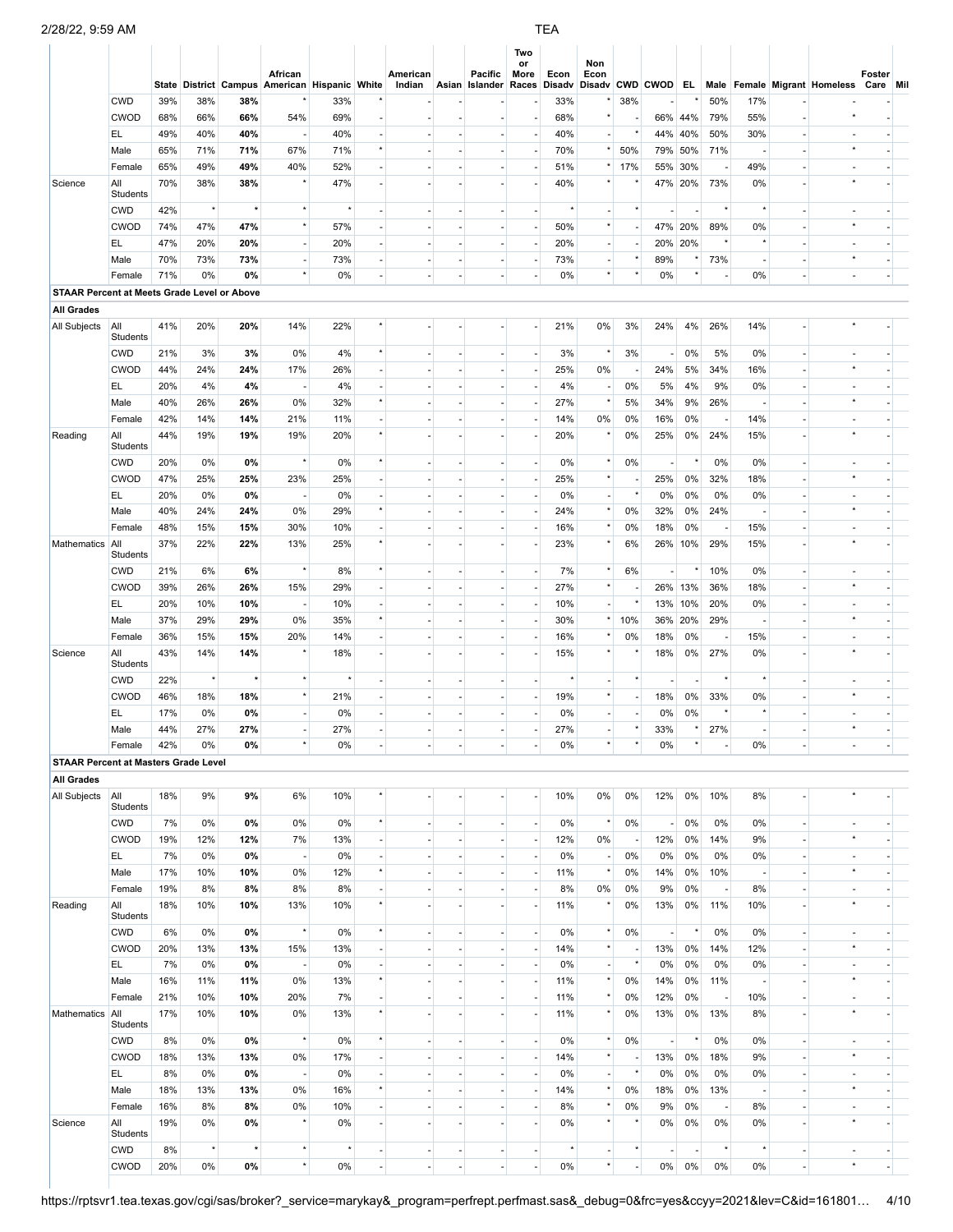|                                                    |                               |            |                 |                     | African<br>State District Campus American Hispanic White |           |                          | American |                               | Pacific<br>Indian Asian Islander Races | Two<br>or<br>More              | Econ      | Non<br>Econ               |                          |                                 |                          |                          |                          |                                | Disadv Disadv CWD CWOD EL Male Female Migrant Homeless | Foster<br>Care Mil       |  |
|----------------------------------------------------|-------------------------------|------------|-----------------|---------------------|----------------------------------------------------------|-----------|--------------------------|----------|-------------------------------|----------------------------------------|--------------------------------|-----------|---------------------------|--------------------------|---------------------------------|--------------------------|--------------------------|--------------------------|--------------------------------|--------------------------------------------------------|--------------------------|--|
|                                                    | <b>CWD</b>                    | 39%        | 38%             | 38%                 |                                                          | 33%       |                          |          |                               |                                        |                                | 33%       |                           | 38%                      |                                 |                          | 50%                      | 17%                      |                                |                                                        |                          |  |
|                                                    | <b>CWOD</b>                   | 68%        | 66%             | 66%                 | 54%                                                      | 69%       |                          |          |                               |                                        | $\sim$                         | 68%       | $\star$                   |                          |                                 | 66% 44%                  | 79%                      | 55%                      |                                |                                                        |                          |  |
|                                                    | EL.                           | 49%        | 40%             | 40%                 | $\overline{\phantom{a}}$                                 | 40%       |                          |          |                               |                                        | $\overline{\phantom{a}}$       | 40%       | $\overline{\phantom{a}}$  |                          | 44%                             | 40%                      | 50%                      | 30%                      |                                |                                                        |                          |  |
|                                                    | Male                          | 65%        | 71%             | 71%                 | 67%                                                      | 71%       | $\star$                  |          |                               |                                        | ٠                              | 70%       |                           | 50%                      | 79%                             | 50%                      | 71%                      |                          |                                |                                                        |                          |  |
|                                                    | Female                        | 65%        | 49%             | 49%                 | 40%                                                      | 52%       |                          |          |                               |                                        | ٠                              | 51%       |                           | 17%                      | 55%                             | 30%                      | $\overline{\phantom{a}}$ | 49%                      |                                |                                                        |                          |  |
| Science                                            | All<br>Students               | 70%        | 38%             | 38%                 |                                                          | 47%       |                          |          |                               |                                        |                                | 40%       |                           |                          |                                 | 47% 20%                  | 73%                      | 0%                       |                                |                                                        |                          |  |
|                                                    | <b>CWD</b>                    | 42%        | $^\star$        | $\star$             | $\star$                                                  | $\star$   | $\overline{a}$           |          | $\overline{\phantom{a}}$      |                                        | ٠                              | $\star$   | $\overline{\phantom{a}}$  | $\star$                  | $\overline{\phantom{a}}$        | $\overline{\phantom{a}}$ | $^\star$                 | ż                        | $\overline{a}$                 |                                                        |                          |  |
|                                                    | <b>CWOD</b>                   | 74%        | 47%             | 47%                 | $^\star$                                                 | 57%       |                          |          |                               |                                        | $\overline{\phantom{a}}$       | 50%       | $\star$                   | $\overline{a}$           |                                 | 47% 20%                  | 89%                      | 0%                       |                                |                                                        |                          |  |
|                                                    | EL                            | 47%        | 20%             | 20%                 | $\overline{\phantom{a}}$                                 | 20%       | $\overline{\phantom{a}}$ |          | ٠                             | ٠                                      | $\overline{\phantom{a}}$       | 20%       | $\blacksquare$            | $\overline{a}$           |                                 | 20% 20%                  | $\star$                  |                          | ÷,                             |                                                        |                          |  |
|                                                    | Male                          | 70%        | 73%             | 73%                 | $\overline{\phantom{a}}$                                 | 73%       | ä,                       |          | $\overline{\phantom{a}}$      |                                        | $\overline{\phantom{a}}$       | 73%       | ÷.                        | $\star$                  | 89%                             | $^\star$                 | 73%                      | $\sim$                   |                                | $\star$                                                |                          |  |
|                                                    | Female                        | 71%        | 0%              | 0%                  | $^\star$                                                 | 0%        | $\blacksquare$           | $\sim$   | $\overline{\phantom{a}}$      | $\blacksquare$                         | $\overline{\phantom{a}}$       | 0%        | $^\star$                  | $^{\star}$               | 0%                              | $^\star$                 | $\overline{\phantom{a}}$ | 0%                       | ÷,                             | $\overline{a}$                                         | $\overline{\phantom{a}}$ |  |
| <b>STAAR Percent at Meets Grade Level or Above</b> |                               |            |                 |                     |                                                          |           |                          |          |                               |                                        |                                |           |                           |                          |                                 |                          |                          |                          |                                |                                                        |                          |  |
| <b>All Grades</b>                                  |                               |            |                 |                     |                                                          |           |                          |          |                               |                                        |                                |           |                           |                          |                                 |                          |                          |                          |                                |                                                        |                          |  |
| All Subjects                                       | All<br>Students               | 41%        | 20%             | 20%                 | 14%                                                      | 22%       | $\star$                  |          | ×                             | ٠                                      | ٠                              | 21%       | 0%                        | 3%                       | 24%                             | 4%                       | 26%                      | 14%                      | ä,                             |                                                        |                          |  |
|                                                    | <b>CWD</b>                    | 21%        | 3%              | 3%                  | 0%                                                       | 4%        | $\star$                  |          |                               |                                        | $\overline{\phantom{a}}$       | 3%        | $\star$                   | 3%                       | $\overline{\phantom{a}}$        | 0%                       | 5%                       | 0%                       |                                |                                                        |                          |  |
|                                                    | <b>CWOD</b>                   | 44%        | 24%             | 24%                 | 17%                                                      | 26%       |                          |          |                               |                                        | $\overline{\phantom{a}}$       | 25%       | 0%                        |                          | 24%                             | 5%                       | 34%                      | 16%                      |                                |                                                        |                          |  |
|                                                    | EL                            | 20%        | 4%              | 4%                  | $\overline{\phantom{a}}$                                 | 4%        |                          |          |                               |                                        | $\overline{\phantom{a}}$       | 4%        | $\overline{\phantom{a}}$  | 0%                       | 5%                              | 4%                       | 9%                       | 0%                       |                                |                                                        |                          |  |
|                                                    | Male                          | 40%        | 26%             | 26%                 | 0%                                                       | 32%       | $^\star$                 |          |                               |                                        | $\overline{\phantom{a}}$       | 27%       | $^\star$                  | 5%                       | 34%                             | 9%                       | 26%                      |                          |                                |                                                        |                          |  |
|                                                    | Female                        | 42%        | 14%             | 14%                 | 21%                                                      | 11%       |                          |          |                               |                                        | $\overline{\phantom{a}}$       | 14%       | 0%                        | 0%                       | 16%                             | 0%                       | $\overline{\phantom{a}}$ | 14%                      |                                |                                                        |                          |  |
| Reading                                            | All<br>Students<br><b>CWD</b> | 44%<br>20% | 19%<br>0%       | 19%<br>0%           | 19%<br>$^\star$                                          | 20%<br>0% | $\star$                  |          | ٠                             |                                        | $\overline{\phantom{a}}$       | 20%<br>0% | $^\star$                  | 0%<br>0%                 | 25%<br>$\overline{\phantom{a}}$ | 0%<br>$\star$            | 24%<br>0%                | 15%<br>0%                | $\overline{a}$                 |                                                        |                          |  |
|                                                    | <b>CWOD</b>                   | 47%        | 25%             | 25%                 | 23%                                                      | 25%       |                          |          |                               |                                        | $\overline{\phantom{a}}$       | 25%       | $\star$                   | ÷,                       | 25%                             | 0%                       | 32%                      | 18%                      |                                |                                                        |                          |  |
|                                                    | EL                            | 20%        | 0%              | 0%                  | $\overline{\phantom{a}}$                                 | 0%        | $\overline{\phantom{a}}$ |          | ٠                             |                                        | $\overline{\phantom{a}}$       | 0%        | $\blacksquare$            | $^\star$                 | 0%                              | 0%                       | 0%                       | 0%                       | ٠                              |                                                        |                          |  |
|                                                    | Male                          | 40%        | 24%             | 24%                 | 0%                                                       | 29%       | $^\star$                 |          |                               |                                        | $\overline{\phantom{a}}$       | 24%       | $^\star$                  | 0%                       | 32%                             | 0%                       | 24%                      |                          |                                |                                                        |                          |  |
|                                                    | Female                        | 48%        | 15%             | 15%                 | 30%                                                      | 10%       | ÷,                       |          | $\overline{\phantom{a}}$      | ÷,                                     | $\overline{\phantom{a}}$       | 16%       | $\star$                   | 0%                       | 18%                             | 0%                       | $\sim$                   | 15%                      | $\overline{a}$                 |                                                        |                          |  |
| Mathematics                                        | All<br>Students               | 37%        | 22%             | 22%                 | 13%                                                      | 25%       | $\star$                  |          |                               |                                        | ä,                             | 23%       | $\star$                   | 6%                       |                                 | 26% 10%                  | 29%                      | 15%                      |                                |                                                        |                          |  |
|                                                    | <b>CWD</b>                    | 21%        | 6%              | 6%                  | $^\star$                                                 | 8%        | $\star$                  |          | ×                             | $\sim$                                 | $\overline{\phantom{a}}$       | 7%        | $\star$                   | 6%                       | $\sim$                          | $^\star$                 | 10%                      | 0%                       | $\sim$                         |                                                        |                          |  |
|                                                    | <b>CWOD</b>                   | 39%        | 26%             | 26%                 | 15%                                                      | 29%       | $\blacksquare$           |          |                               |                                        | $\overline{\phantom{a}}$       | 27%       | $^\star$                  |                          |                                 | 26% 13%                  | 36%                      | 18%                      |                                |                                                        |                          |  |
|                                                    | EL.                           | 20%        | 10%             | 10%                 | $\overline{\phantom{a}}$                                 | 10%       | ä,                       |          | ×                             | $\overline{a}$                         | ÷.                             | 10%       | $\overline{\phantom{a}}$  | $\star$                  | 13%                             | 10%                      | 20%                      | 0%                       | ä,                             |                                                        |                          |  |
|                                                    | Male                          | 37%        | 29%             | 29%                 | 0%                                                       | 35%       | $^\star$                 |          | $\overline{\phantom{a}}$      | $\overline{a}$                         | $\overline{\phantom{a}}$       | 30%       |                           | 10%                      | 36%                             | 20%                      | 29%                      |                          | $\overline{a}$                 |                                                        |                          |  |
|                                                    | Female                        | 36%        | 15%             | 15%                 | 20%                                                      | 14%       | $\overline{a}$           |          |                               | ä,                                     | ÷,                             | 16%       | $^\star$                  | 0%                       | 18%                             | 0%                       | $\overline{\phantom{a}}$ | 15%                      |                                |                                                        |                          |  |
| Science                                            | All<br>Students               | 43%        | 14%<br>$^\star$ | 14%<br>$\pmb{\ast}$ | $\star$                                                  | 18%       |                          |          |                               | ٠                                      | ٠                              | 15%       | $\star$                   | $\star$                  | 18%                             | 0%                       | 27%<br>$\star$           | 0%<br>ż                  |                                |                                                        |                          |  |
|                                                    | <b>CWD</b><br><b>CWOD</b>     | 22%<br>46% |                 |                     | $\star$                                                  |           |                          |          |                               |                                        | ٠                              |           | $\star$                   |                          |                                 |                          |                          | 0%                       |                                |                                                        |                          |  |
|                                                    | EL                            | 17%        | 18%<br>0%       | 18%<br>0%           | $\sim$                                                   | 21%<br>0% |                          |          |                               |                                        | $\overline{\phantom{a}}$       | 19%<br>0% | $\overline{\phantom{a}}$  |                          | 18%<br>0%                       | 0%<br>0%                 | 33%                      |                          |                                |                                                        |                          |  |
|                                                    | Male                          | 44%        | 27%             | 27%                 | $\sim$                                                   | 27%       |                          |          | ÷                             |                                        | ٠                              | 27%       | $\sim$                    | $^{\star}$               | 33%                             | ×                        | 27%                      |                          |                                | $\star$                                                |                          |  |
|                                                    | Female                        | 42%        | 0%              | 0%                  | $^\star$                                                 | 0%        |                          |          | $\overline{\phantom{a}}$      |                                        | $\overline{\phantom{a}}$       | 0%        |                           | $^{\star}$               | 0%                              |                          | $\overline{\phantom{a}}$ | 0%                       |                                |                                                        | $\overline{\phantom{a}}$ |  |
| <b>STAAR Percent at Masters Grade Level</b>        |                               |            |                 |                     |                                                          |           |                          |          |                               |                                        |                                |           |                           |                          |                                 |                          |                          |                          |                                |                                                        |                          |  |
| <b>All Grades</b>                                  |                               |            |                 |                     |                                                          |           |                          |          |                               |                                        |                                |           |                           |                          |                                 |                          |                          |                          |                                |                                                        |                          |  |
| All Subjects                                       | All<br>Students               | 18%        | 9%              | 9%                  | 6%                                                       | 10%       | $\star$                  |          |                               |                                        | ÷,                             | 10%       | 0%                        | 0%                       | 12%                             | $0\%$                    | 10%                      | 8%                       |                                |                                                        |                          |  |
|                                                    | <b>CWD</b>                    | 7%         | 0%              | 0%                  | $0\%$                                                    | 0%        | $^\star$                 |          | ٠                             | $\overline{\phantom{a}}$               | $\overline{\phantom{a}}$       | 0%        | $\star$                   | 0%                       | $\blacksquare$                  | 0%                       | 0%                       | 0%                       | $\blacksquare$                 |                                                        | ٠                        |  |
|                                                    | <b>CWOD</b>                   | 19%        | 12%             | 12%                 | 7%                                                       | 13%       | ٠                        |          | $\overline{\phantom{a}}$      | $\overline{a}$                         | $\overline{\phantom{a}}$       | 12%       | 0%                        | $\overline{\phantom{a}}$ | 12%                             | 0%                       | 14%                      | 9%                       | $\blacksquare$                 |                                                        |                          |  |
|                                                    | EL.                           | 7%         | 0%              | 0%                  | $\sim$                                                   | 0%        | ÷.                       | ÷.       | $\sim$                        | $\sim$                                 | $\sim$                         | 0%        | $\overline{\phantom{a}}$  | 0%                       | 0%                              | 0%                       | 0%                       | 0%                       | $\overline{\phantom{a}}$       |                                                        | $\sim$                   |  |
|                                                    | Male                          | 17%        | 10%             | 10%                 | 0%                                                       | 12%       | $^\star$                 |          | $\overline{\phantom{a}}$      | $\overline{a}$                         | $\overline{\phantom{a}}$       | 11%       | $^\star$                  | 0%                       | 14%                             | 0%                       | 10%                      |                          | $\overline{\phantom{a}}$       |                                                        | $\overline{\phantom{a}}$ |  |
|                                                    | Female                        | 19%        | 8%              | 8%                  | 8%                                                       | 8%        | L.<br>$\star$            | ÷.       | $\sim$                        | ÷.                                     | $\Box$                         | 8%        | 0%<br>$^\star$            | 0%                       | 9%                              | 0%                       | - 1                      | 8%                       | ÷.                             |                                                        | ٠                        |  |
| Reading                                            | All<br>Students               | 18%        | 10%             | 10%                 | 13%<br>$^\star$                                          | 10%       | $^\star$                 |          |                               | ٠                                      | ٠                              | 11%       | $^\star$                  | 0%                       | 13%                             | 0%<br>$\star$            | 11%<br>0%                | 10%                      | ÷,                             |                                                        | $\overline{\phantom{a}}$ |  |
|                                                    | <b>CWD</b><br><b>CWOD</b>     | 6%<br>20%  | 0%<br>13%       | 0%<br>13%           | 15%                                                      | 0%<br>13% | ä,                       |          | $\overline{\phantom{a}}$<br>٠ | ٠                                      | $\overline{\phantom{a}}$<br>÷. | 0%<br>14% | $^\star$                  | 0%<br>$\blacksquare$     | $\overline{\phantom{a}}$<br>13% | 0%                       | 14%                      | 0%<br>12%                | $\overline{\phantom{a}}$<br>÷, | $\star$                                                |                          |  |
|                                                    | EL.                           | 7%         | 0%              | 0%                  | $\overline{\phantom{a}}$                                 | 0%        |                          |          | $\overline{a}$                |                                        | $\overline{\phantom{a}}$       | 0%        | $\overline{\phantom{a}}$  | $^\star$                 | 0%                              | 0%                       | 0%                       | 0%                       | ۰                              |                                                        |                          |  |
|                                                    | Male                          | 16%        | 11%             | 11%                 | 0%                                                       | 13%       | $^\star$                 |          | ٠                             |                                        | ÷.                             | 11%       | $\star$                   | 0%                       | 14%                             | 0%                       | 11%                      |                          | ä,                             |                                                        |                          |  |
|                                                    | Female                        | 21%        | 10%             | 10%                 | 20%                                                      | 7%        |                          |          | $\overline{a}$                |                                        | $\overline{\phantom{a}}$       | 11%       | $\star$                   | 0%                       | 12%                             | 0%                       | $\overline{\phantom{a}}$ | 10%                      |                                |                                                        |                          |  |
| Mathematics                                        | All<br>Students               | 17%        | 10%             | 10%                 | 0%                                                       | 13%       | $\star$                  |          |                               |                                        | ٠                              | 11%       | $\star$                   | 0%                       | 13%                             | 0%                       | 13%                      | 8%                       |                                |                                                        |                          |  |
|                                                    | <b>CWD</b>                    | 8%         | 0%              | 0%                  | $^\star$                                                 | 0%        | $^\star$                 | $\sim$   | $\blacksquare$                | $\overline{\phantom{a}}$               | $\overline{\phantom{a}}$       | 0%        | $\star$                   | 0%                       | $\overline{\phantom{a}}$        | $^\star$                 | 0%                       | 0%                       | $\blacksquare$                 |                                                        | $\overline{\phantom{a}}$ |  |
|                                                    | <b>CWOD</b>                   | 18%        | 13%             | 13%                 | 0%                                                       | 17%       | ÷.                       | $\sim$   | $\sim$                        | $\overline{\phantom{a}}$               | $\sim$                         | 14%       | $^\star$                  | $\overline{a}$           | 13%                             | 0%                       | 18%                      | 9%                       | ÷,                             | $\star$                                                |                          |  |
|                                                    | EL.                           | 8%         | 0%              | 0%                  | $\overline{\phantom{a}}$                                 | 0%        | $\overline{\phantom{a}}$ |          | $\overline{\phantom{a}}$      | $\overline{\phantom{a}}$               | $\overline{\phantom{a}}$       | 0%        | $\overline{\phantom{a}}$  | $\star$                  | 0%                              | 0%                       | 0%                       | 0%                       | $\overline{\phantom{a}}$       |                                                        | $\overline{\phantom{a}}$ |  |
|                                                    | Male                          | 18%        | 13%             | 13%                 | 0%                                                       | 16%       | $^\star$                 |          |                               |                                        | ٠                              | 14%       | $^\star$                  | 0%                       | 18%                             | 0%                       | 13%                      | $\overline{\phantom{a}}$ | ÷,                             | $\star$                                                | ÷,                       |  |
|                                                    | Female                        | 16%        | 8%              | 8%                  | 0%                                                       | 10%       | $\blacksquare$           | $\sim$   | $\overline{\phantom{a}}$      | ÷,                                     | $\overline{\phantom{a}}$       | 8%        | $^\star$                  | 0%                       | 9%                              | 0%                       | - 1                      | 8%                       | $\blacksquare$                 | ä,                                                     | ٠                        |  |
| Science                                            | All<br>Students               | 19%        | 0%              | 0%                  | $^\star$                                                 | 0%        |                          |          |                               |                                        | $\overline{\phantom{a}}$       | 0%        | $\star$                   | $\star$                  | 0%                              | 0%                       | 0%                       | 0%                       |                                | $\star$                                                |                          |  |
|                                                    | <b>CWD</b>                    | 8%         | $\star$         | $\pmb{\ast}$        | $^\star$<br>$^\star$                                     |           |                          |          |                               | $\overline{a}$                         | ٠                              |           | $\blacksquare$<br>$\star$ | $^{\star}$               | $\overline{\phantom{a}}$        | $\overline{\phantom{a}}$ | $\star$                  | $\star$                  | $\overline{\phantom{a}}$       | $\star$                                                |                          |  |
|                                                    | <b>CWOD</b>                   | 20%        | 0%              | 0%                  |                                                          | $0\%$     | ä,                       |          | $\overline{\phantom{a}}$      | ÷.                                     | ÷.                             | 0%        |                           | $\overline{a}$           | $0\%$                           | 0%                       | 0%                       | $0\%$                    | ÷,                             |                                                        |                          |  |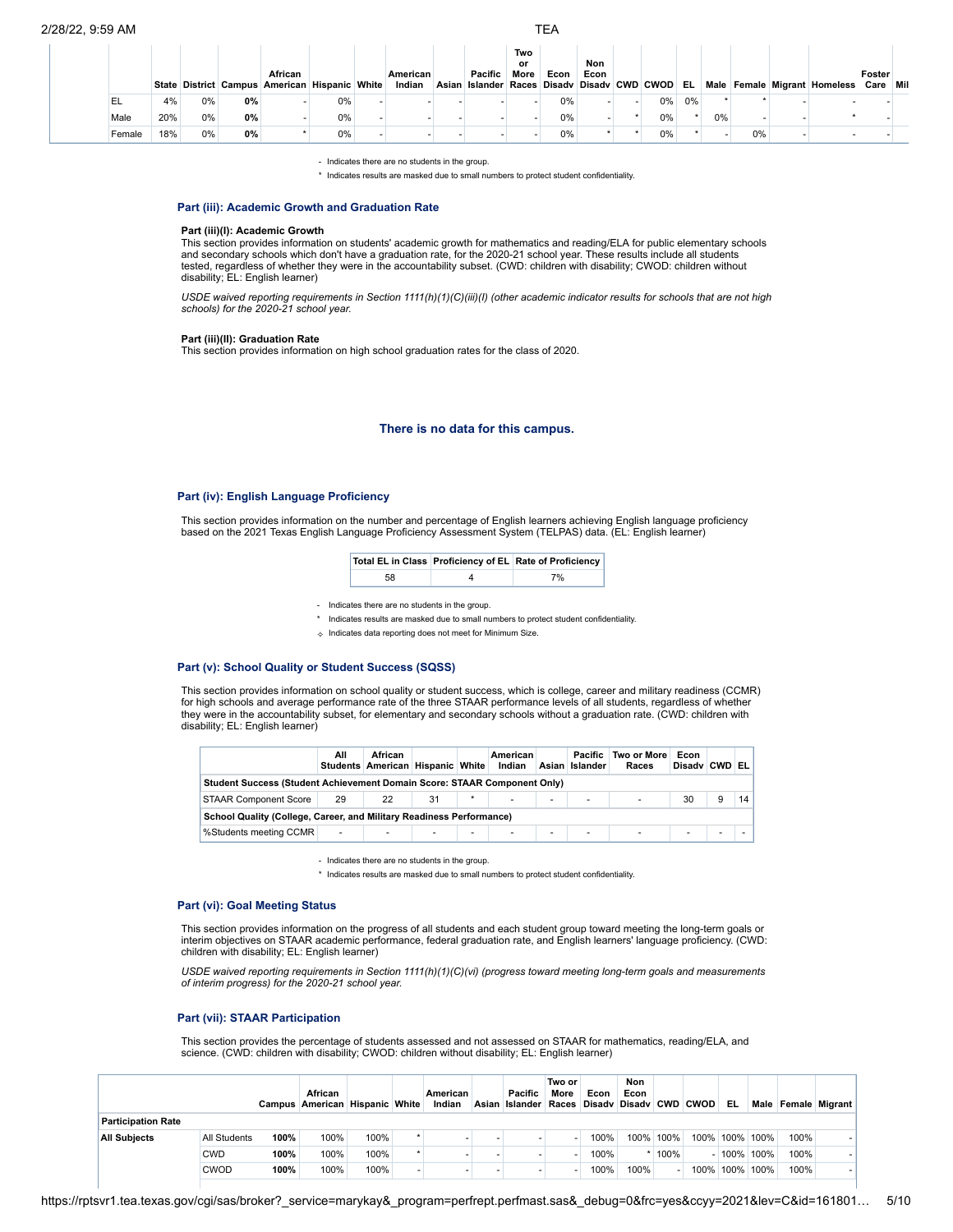|        |     |    |    | African<br>State District Campus American Hispanic White |       | American<br>Indian | Pacific<br>Asian Islander Races Disady Disady CWD CWOD EL | Two<br>or<br>More | Econ | Non<br>Econ |    |    |    |    | Male Female Migrant Homeless | Foster<br>Care Mil |
|--------|-----|----|----|----------------------------------------------------------|-------|--------------------|-----------------------------------------------------------|-------------------|------|-------------|----|----|----|----|------------------------------|--------------------|
| EL     | 4%  | 0% | 0% |                                                          | 0%    |                    |                                                           |                   | 0%   |             | 0% | 0% |    |    |                              |                    |
| Male   | 20% | 0% | 0% |                                                          | $0\%$ |                    |                                                           |                   | 0%   |             | 0% |    | 0% |    |                              |                    |
| Female | 18% | 0% | 0% |                                                          | $0\%$ |                    |                                                           |                   | 0%   |             | 0% |    |    | 0% |                              |                    |

- Indicates there are no students in the group.

\* Indicates results are masked due to small numbers to protect student confidentiality.

#### **Part (iii): Academic Growth and Graduation Rate**

#### **Part (iii)(I): Academic Growth**

This section provides information on students' academic growth for mathematics and reading/ELA for public elementary schools and secondary schools which don't have a graduation rate, for the 2020-21 school year. These results include all students tested, regardless of whether they were in the accountability subset. (CWD: children with disability; CWOD: children without disability; EL: English learner)

USDE waived reporting requirements in Section 1111(h)(1)(C)(iii)(l) (other academic indicator results for schools that are not high<br>schools) for the 2020-21 school year.

#### **Part (iii)(II): Graduation Rate**

This section provides information on high school graduation rates for the class of 2020.

## **There is no data for this campus.**

## **Part (iv): English Language Proficiency**

This section provides information on the number and percentage of English learners achieving English language proficiency based on the 2021 Texas English Language Proficiency Assessment System (TELPAS) data. (EL: English learner)

|    | Total EL in Class Proficiency of EL Rate of Proficiency |  |
|----|---------------------------------------------------------|--|
| 58 | 7%                                                      |  |

- Indicates there are no students in the group.

- \* Indicates results are masked due to small numbers to protect student confidentiality.
- ✧ Indicates data reporting does not meet for Minimum Size.

## **Part (v): School Quality or Student Success (SQSS)**

This section provides information on school quality or student success, which is college, career and military readiness (CCMR) for high schools and average performance rate of the three STAAR performance levels of all students, regardless of whether they were in the accountability subset, for elementary and secondary schools without a graduation rate. (CWD: children with disability; EL: English learner)

|                                                                          | All    | African<br>Students American Hispanic White |                          |                          | American<br>Indian |   | Pacific<br>Asian Islander | Two or More<br>Races | Econ<br>Disady CWD EL |   |    |
|--------------------------------------------------------------------------|--------|---------------------------------------------|--------------------------|--------------------------|--------------------|---|---------------------------|----------------------|-----------------------|---|----|
| Student Success (Student Achievement Domain Score: STAAR Component Only) |        |                                             |                          |                          |                    |   |                           |                      |                       |   |    |
| <b>STAAR Component Score</b>                                             | 29     | 22                                          | 31                       |                          |                    | ٠ | ۰                         | $\sim$               | 30                    | 9 | 14 |
| School Quality (College, Career, and Military Readiness Performance)     |        |                                             |                          |                          |                    |   |                           |                      |                       |   |    |
| %Students meeting CCMR                                                   | $\sim$ | ٠                                           | <b>Contract Contract</b> | $\overline{\phantom{a}}$ | ٠                  | ٠ | $\overline{\phantom{a}}$  | <b>Service</b> State | ۰.                    | ٠ |    |

- Indicates there are no students in the group.

\* Indicates results are masked due to small numbers to protect student confidentiality.

#### **Part (vi): Goal Meeting Status**

This section provides information on the progress of all students and each student group toward meeting the long-term goals or interim objectives on STAAR academic performance, federal graduation rate, and English learners' language proficiency. (CWD: children with disability; EL: English learner)

*USDE waived reporting requirements in Section 1111(h)(1)(C)(vi) (progress toward meeting long-term goals and measurements of interim progress) for the 2020-21 school year.*

## **Part (vii): STAAR Participation**

This section provides the percentage of students assessed and not assessed on STAAR for mathematics, reading/ELA, and science. (CWD: children with disability; CWOD: children without disability; EL: English learner)

|                           |              |      | African<br>Campus American Hispanic White |      | American<br>Indian | Pacific<br>Asian Islander Races Disady Disady CWD CWOD | Two or<br>More | Econ | Non<br>Econ |           |      | EL.       |      |      | Male Female Migrant |
|---------------------------|--------------|------|-------------------------------------------|------|--------------------|--------------------------------------------------------|----------------|------|-------------|-----------|------|-----------|------|------|---------------------|
| <b>Participation Rate</b> |              |      |                                           |      |                    |                                                        |                |      |             |           |      |           |      |      |                     |
| <b>All Subiects</b>       | All Students | 100% | 100%                                      | 100% |                    |                                                        |                | 100% |             | 100% 100% |      | 100% 100% | 100% | 100% |                     |
|                           | <b>CWD</b>   | 100% | 100%                                      | 100% |                    |                                                        |                | 100% |             | 100%      |      | $100\%$   | 100% | 100% |                     |
|                           | <b>CWOD</b>  | 100% | 100%                                      | 100% |                    |                                                        |                | 100% | 100%        |           | 100% | 100%      | 100% | 100% |                     |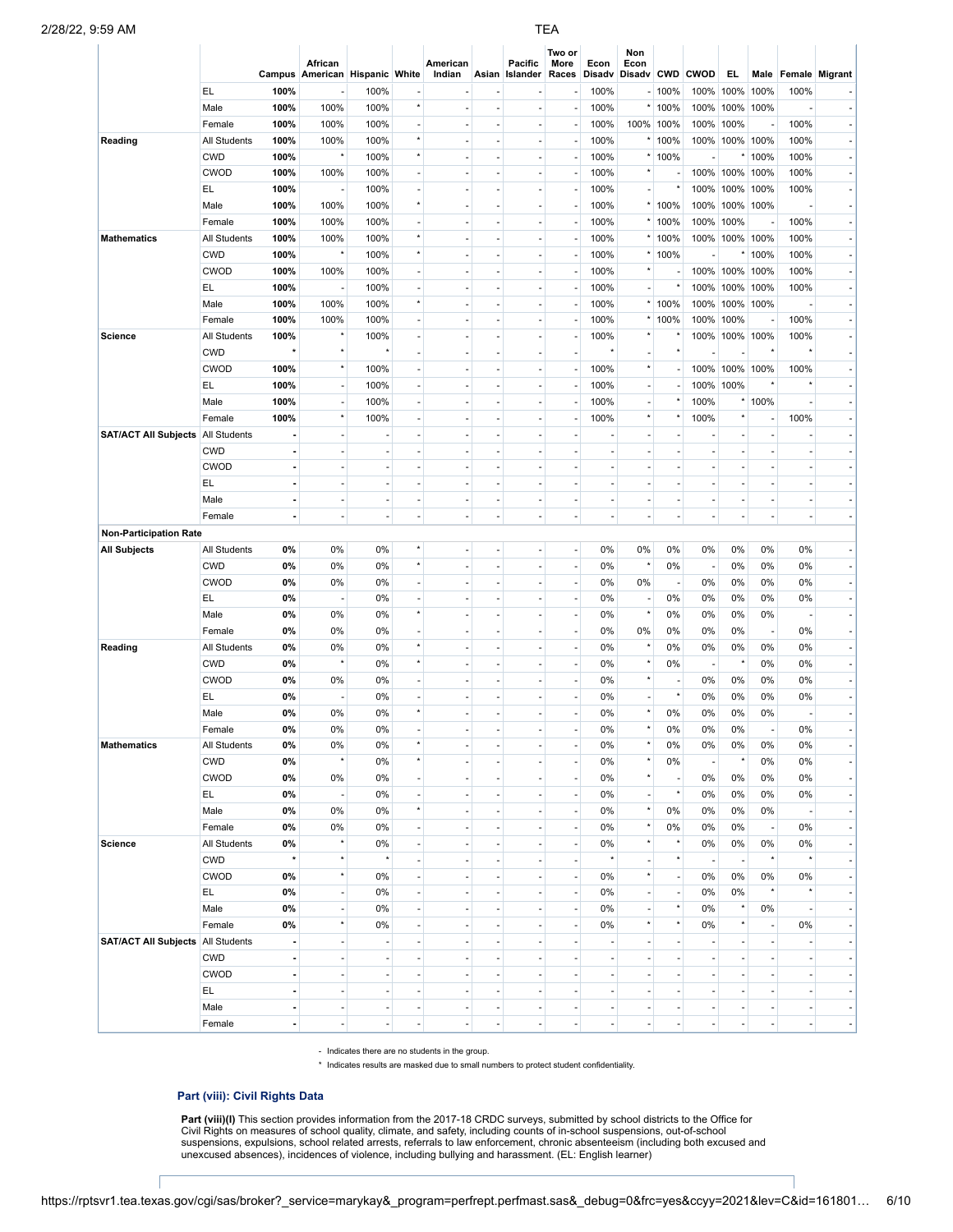|                                                      |              |                              | African<br>Campus American Hispanic White |                          |                                     | American<br>Indian       | Asian          | Pacific<br>Islander      | Two or<br>More<br>Races  | Econ<br>Disadv           | Non<br>Econ<br>Disadv CWD |           | <b>CWOD</b>    | EL.                      |                          |                          | Male Female Migrant      |
|------------------------------------------------------|--------------|------------------------------|-------------------------------------------|--------------------------|-------------------------------------|--------------------------|----------------|--------------------------|--------------------------|--------------------------|---------------------------|-----------|----------------|--------------------------|--------------------------|--------------------------|--------------------------|
|                                                      | EL.          | 100%                         |                                           | 100%                     |                                     |                          |                |                          |                          | 100%                     |                           | $-100%$   | 100%           | 100%                     | 100%                     | 100%                     |                          |
|                                                      | Male         | 100%                         | 100%                                      | 100%                     | $\star$                             | $\overline{\phantom{a}}$ | ٠              |                          |                          | 100%                     |                           | * 100%    | 100%           | 100%                     | 100%                     |                          |                          |
|                                                      | Female       | 100%                         | 100%                                      | 100%                     | ä,                                  | ٠                        |                | $\overline{a}$           |                          | 100%                     |                           | 100% 100% | 100%           | 100%                     | ÷,                       | 100%                     |                          |
| Reading                                              | All Students | 100%                         | 100%                                      | 100%                     | $^\star$                            | $\overline{\phantom{a}}$ | ٠              | ÷,                       |                          | 100%                     |                           | $*100%$   | 100%           | 100% 100%                |                          | 100%                     | $\overline{\phantom{a}}$ |
|                                                      | <b>CWD</b>   | 100%                         | $\star$                                   | 100%                     | $\star$                             |                          |                |                          |                          | 100%                     |                           | * 100%    |                |                          | 100%                     | 100%                     |                          |
|                                                      | <b>CWOD</b>  | 100%                         | 100%                                      | 100%                     | $\overline{a}$                      | $\overline{\phantom{a}}$ | ٠              | ÷,                       |                          | 100%                     | $^\star$                  |           | 100%           | 100%                     | 100%                     | 100%                     | $\overline{\phantom{a}}$ |
|                                                      | EL.          | 100%                         | ł,                                        | 100%                     | ä,                                  | ä,                       |                | $\overline{a}$           |                          | 100%                     | ×.                        |           | 100%           | 100%                     | 100%                     | 100%                     |                          |
|                                                      | Male         | 100%                         | 100%                                      | 100%                     | $^\star$                            | $\overline{\phantom{a}}$ | ٠              | ÷,                       |                          | 100%                     |                           | * 100%    | 100%           |                          | 100% 100%                |                          | $\overline{\phantom{a}}$ |
|                                                      | Female       | 100%                         | 100%                                      | 100%                     |                                     | ٠                        |                |                          |                          | 100%                     |                           | * 100%    | 100%           | 100%                     | ÷,                       | 100%                     |                          |
| <b>Mathematics</b>                                   | All Students | 100%                         | 100%                                      | 100%                     | $\star$                             | $\overline{\phantom{a}}$ | ÷,             | ÷,                       |                          | 100%                     |                           | $*100\%$  | 100%           | 100%                     | 100%                     | 100%                     | $\overline{\phantom{a}}$ |
|                                                      | <b>CWD</b>   | 100%                         | $^\star$                                  | 100%                     | $\star$                             | ä,                       |                | $\overline{a}$           |                          | 100%                     |                           | * 100%    |                |                          | 100%                     | 100%                     |                          |
|                                                      | <b>CWOD</b>  | 100%                         | 100%                                      | 100%                     | $\overline{\phantom{a}}$            | $\overline{\phantom{a}}$ | ٠              | ÷,                       |                          | 100%                     |                           |           | 100%           | 100% 100%                |                          | 100%                     | $\overline{\phantom{a}}$ |
|                                                      | EL           | 100%                         |                                           | 100%                     |                                     | ÷,                       |                |                          |                          | 100%                     | $\sim$                    |           | 100%           | 100%                     | 100%                     | 100%                     |                          |
|                                                      | Male         | 100%                         | 100%                                      | 100%                     | $\star$                             | $\overline{\phantom{a}}$ | ÷,             | ÷,                       |                          | 100%                     |                           | * 100%    | 100%           | 100%                     | 100%                     |                          | $\overline{\phantom{a}}$ |
|                                                      | Female       | 100%                         | 100%                                      | 100%                     | ä,                                  | ä,                       |                | $\overline{a}$           |                          | 100%                     |                           | * 100%    | 100%           | 100%                     | ÷,                       | 100%                     |                          |
| <b>Science</b>                                       | All Students | 100%                         |                                           | 100%                     | $\overline{\phantom{a}}$            | $\overline{\phantom{a}}$ | ٠              | $\overline{a}$           |                          | 100%                     |                           |           | 100%           |                          | 100% 100%                | 100%                     | $\overline{\phantom{a}}$ |
|                                                      | <b>CWD</b>   | $\star$                      | $^\star$                                  | $\star$                  | ÷,                                  | ٠                        |                |                          |                          |                          |                           | $\star$   |                |                          | $\star$                  |                          |                          |
|                                                      | <b>CWOD</b>  | 100%                         |                                           | 100%                     | $\overline{a}$                      | $\overline{\phantom{a}}$ | ÷,             | $\overline{a}$           |                          | 100%                     | $^\star$                  |           | 100%           |                          | 100% 100%                | 100%                     | $\overline{\phantom{a}}$ |
|                                                      | EL           | 100%                         |                                           | 100%                     | ä,                                  | ٠                        |                | $\overline{a}$           |                          | 100%                     | ÷                         |           | 100%           | 100%                     | $\star$                  |                          |                          |
|                                                      | Male         | 100%                         | ÷                                         | 100%                     | $\overline{\phantom{a}}$            | $\overline{\phantom{a}}$ | ٠              | ÷,                       |                          | 100%                     | $\overline{\phantom{a}}$  |           | 100%           |                          | 100%                     |                          | $\overline{\phantom{a}}$ |
|                                                      | Female       | 100%                         | $\star$                                   | 100%                     | ÷,                                  | ÷,                       |                |                          |                          | 100%                     | $^\star$                  | $\star$   | 100%           | $\star$                  | $\overline{\phantom{a}}$ | 100%                     |                          |
| <b>SAT/ACT All Subjects   All Students</b>           |              |                              |                                           |                          |                                     | $\overline{\phantom{a}}$ |                |                          |                          |                          |                           |           |                |                          | ÷,                       |                          |                          |
|                                                      | <b>CWD</b>   | L.                           |                                           | $\sim$                   |                                     | ٠                        |                |                          |                          |                          |                           |           |                |                          | ÷,                       |                          |                          |
|                                                      | <b>CWOD</b>  | $\qquad \qquad \blacksquare$ | ÷                                         | $\overline{\phantom{a}}$ | $\overline{a}$                      | $\overline{\phantom{a}}$ | $\overline{a}$ |                          |                          | $\overline{a}$           |                           |           |                |                          | $\overline{a}$           | ÷                        | $\overline{\phantom{a}}$ |
|                                                      | EL.          | $\overline{a}$               |                                           | $\overline{\phantom{a}}$ |                                     | ٠                        |                |                          |                          |                          |                           |           |                |                          | ÷,                       |                          |                          |
|                                                      | Male         | $\blacksquare$               | $\overline{a}$                            | $\overline{\phantom{a}}$ | $\overline{a}$                      | $\overline{\phantom{a}}$ | $\overline{a}$ | $\overline{a}$           |                          | $\overline{a}$           | $\overline{\phantom{a}}$  |           |                |                          | ÷,                       | ÷,                       | $\overline{\phantom{a}}$ |
|                                                      | Female       | $\blacksquare$               |                                           | $\sim$                   | ÷,                                  | ä,                       | ÷,             | ä,                       |                          | ÷,                       |                           |           |                | $\overline{\phantom{a}}$ | ÷,                       |                          |                          |
|                                                      |              |                              |                                           |                          |                                     |                          |                |                          |                          |                          |                           |           |                |                          |                          |                          |                          |
| <b>Non-Participation Rate</b><br><b>All Subjects</b> | All Students | 0%                           | 0%                                        | 0%                       | $\star$                             | ÷,                       |                |                          |                          | 0%                       | 0%                        | 0%        | 0%             | 0%                       | 0%                       | 0%                       |                          |
|                                                      | <b>CWD</b>   | 0%                           | 0%                                        | 0%                       | $\star$                             | $\overline{\phantom{a}}$ | ä,             | ä,                       | ÷,                       | 0%                       | $\star$                   | 0%        |                | 0%                       | 0%                       | 0%                       | ÷.                       |
|                                                      | <b>CWOD</b>  | $0\%$                        | 0%                                        |                          |                                     |                          |                |                          |                          |                          |                           |           | ٠.             |                          |                          |                          |                          |
|                                                      | EL           |                              |                                           | 0%                       |                                     | $\overline{a}$           |                |                          |                          | 0%                       | 0%                        | 0%        | 0%             | 0%                       | 0%                       | 0%                       |                          |
|                                                      |              | 0%                           | $\overline{\phantom{a}}$<br>0%            | 0%                       | ÷,<br>$\star$                       | $\overline{\phantom{a}}$ | ٠              |                          | $\overline{\phantom{a}}$ | 0%                       | ÷<br>$^\star$             |           | 0%             | 0%                       | 0%                       | 0%                       | ÷.                       |
|                                                      | Male         | 0%                           |                                           | 0%                       |                                     | ٠                        |                |                          |                          | 0%                       |                           | 0%        | 0%             | 0%                       | 0%                       |                          |                          |
|                                                      | Female       | 0%                           | 0%                                        | 0%                       | $\overline{\phantom{a}}$<br>$\star$ | ÷                        | ä,             |                          |                          | 0%                       | 0%<br>$\star$             | 0%        | 0%             | 0%                       | $\overline{\phantom{a}}$ | 0%                       | H.                       |
| Reading                                              | All Students | 0%                           | 0%                                        | 0%                       | $\star$                             |                          |                |                          |                          | 0%                       | $\star$                   | 0%        | 0%             | 0%<br>$^\star$           | 0%                       | 0%                       |                          |
|                                                      | <b>CWD</b>   | 0%                           |                                           | 0%                       |                                     | $\overline{a}$           | ٠              |                          | $\overline{\phantom{a}}$ | 0%                       | $\star$                   | 0%        | ٠.             |                          | 0%                       | 0%                       | $\blacksquare$           |
|                                                      | <b>CWOD</b>  | 0%                           | 0%                                        | 0%                       |                                     | ä,                       |                |                          |                          | 0%                       |                           | $\star$   | 0%             | 0%                       | 0%                       | 0%                       |                          |
|                                                      | EL           | 0%                           |                                           | 0%                       | $\star$                             | ÷,                       |                |                          |                          | 0%                       |                           |           | 0%             | 0%                       | 0%                       | 0%                       | $\overline{\phantom{a}}$ |
|                                                      | Male         | 0%                           | 0%                                        | 0%                       |                                     | ÷,                       |                |                          |                          | 0%                       | $\star$                   | 0%        | 0%             | 0%                       | 0%                       |                          |                          |
|                                                      | Female       | 0%                           | 0%                                        | 0%                       |                                     |                          |                |                          |                          | 0%                       |                           | 0%        | 0%             | 0%                       |                          | 0%                       |                          |
| <b>Mathematics</b>                                   | All Students | 0%                           | 0%<br>$\star$                             | 0%                       | $^\star$                            | ÷,                       |                |                          |                          | 0%                       | $\star$                   | 0%        | 0%             | 0%                       | 0%                       | 0%                       | $\blacksquare$           |
|                                                      | <b>CWD</b>   | 0%                           |                                           | 0%                       | $^\star$                            | $\overline{\phantom{a}}$ | $\overline{a}$ | $\sim$                   | $\overline{\phantom{a}}$ | 0%                       | $\star$                   | 0%        | ٠.             | $^\star$                 | 0%                       | 0%                       | H.                       |
|                                                      | CWOD         | 0%                           | 0%                                        | 0%                       | $\overline{\phantom{a}}$            | $\overline{\phantom{a}}$ |                |                          |                          | 0%                       | $\star$                   |           | 0%             | 0%                       | 0%                       | 0%                       | ٠                        |
|                                                      | EL           | 0%                           | ÷,                                        | 0%                       | $\overline{\phantom{a}}$            | $\overline{\phantom{a}}$ | $\overline{a}$ | ä,                       | $\overline{\phantom{a}}$ | 0%                       | $\overline{\phantom{a}}$  | $\star$   | 0%             | 0%                       | 0%                       | 0%                       | ÷.                       |
|                                                      | Male         | 0%                           | 0%                                        | 0%                       | $\star$                             | $\overline{\phantom{a}}$ |                |                          |                          | 0%                       | $\star$                   | 0%        | 0%             | 0%                       | 0%                       |                          | - 1                      |
|                                                      | Female       | 0%                           | 0%                                        | 0%                       | $\overline{a}$                      | $\overline{\phantom{a}}$ | ٠              | $\overline{\phantom{a}}$ |                          | 0%                       | $\star$                   | 0%        | 0%             | 0%                       | $\overline{\phantom{a}}$ | 0%                       | H.                       |
| <b>Science</b>                                       | All Students | 0%                           |                                           | 0%                       | $\overline{\phantom{a}}$            | ÷,                       |                |                          |                          | 0%                       | $\star$                   | $\star$   | 0%             | 0%                       | 0%                       | 0%                       | ٠                        |
|                                                      | <b>CWD</b>   | $\star$                      |                                           | $^\star$                 | ÷,                                  | $\overline{\phantom{a}}$ | $\overline{a}$ | ÷,                       | ÷,                       | $^\star$                 | $\sim$                    | $\star$   | ٠.             | ÷,                       | $^\star$                 |                          | - 1                      |
|                                                      | CWOD         | 0%                           | $^\star$                                  | 0%                       | $\overline{a}$                      | ÷,                       |                |                          |                          | 0%                       | $\star$                   |           | 0%             | 0%                       | 0%                       | 0%                       |                          |
|                                                      | EL.          | 0%                           |                                           | 0%                       | $\overline{a}$                      | $\overline{\phantom{a}}$ | ٠              | $\overline{\phantom{a}}$ |                          | 0%                       | $\overline{\phantom{a}}$  |           | 0%             | 0%                       | $\star$                  |                          | $\lvert \cdot \rvert$    |
|                                                      | Male         | 0%                           |                                           | 0%                       | $\overline{a}$                      | $\overline{\phantom{a}}$ |                |                          |                          | 0%                       |                           | $\star$   | 0%             | $\star$                  | 0%                       |                          | ۰I                       |
|                                                      | Female       | 0%                           | $^\star$                                  | 0%                       | $\overline{\phantom{a}}$            | $\overline{\phantom{a}}$ | ÷,             | ä,                       | ÷,                       | 0%                       | $^\star$                  | $\star$   | 0%             | $\star$                  | $\overline{\phantom{a}}$ | 0%                       | ٠                        |
| <b>SAT/ACT All Subjects</b>                          | All Students | $\blacksquare$               |                                           | ÷,                       | ÷,                                  | $\overline{\phantom{a}}$ |                |                          |                          |                          |                           |           |                |                          | ÷,                       |                          |                          |
|                                                      | <b>CWD</b>   | $\blacksquare$               | $\overline{\phantom{a}}$                  | $\overline{\phantom{a}}$ | $\overline{\phantom{a}}$            | $\overline{\phantom{a}}$ |                | $\sim$                   |                          | $\overline{\phantom{a}}$ |                           |           |                |                          | ÷,                       |                          | H.                       |
|                                                      | CWOD         | $\blacksquare$               |                                           | $\overline{\phantom{a}}$ |                                     | $\overline{\phantom{a}}$ |                |                          |                          |                          |                           |           |                |                          | ÷,                       |                          |                          |
|                                                      | EL           | $\blacksquare$               | $\overline{a}$                            | $\overline{\phantom{a}}$ | $\overline{\phantom{a}}$            | $\overline{\phantom{a}}$ | $\overline{a}$ | ÷,                       |                          | $\tilde{\phantom{a}}$    | $\sim$                    |           | ٠              | $\overline{\phantom{a}}$ | $\overline{\phantom{a}}$ | ×,                       | - 1                      |
|                                                      | Male         | $\blacksquare$               | ÷                                         | ÷,                       | $\overline{a}$                      | ÷                        |                |                          |                          | ×,                       |                           |           |                |                          | ÷                        | ł,                       |                          |
|                                                      | Female       | $\blacksquare$               | $\overline{\phantom{a}}$                  | $\overline{\phantom{a}}$ | $\overline{\phantom{a}}$            | $\overline{\phantom{a}}$ | ٠              | ÷,                       |                          | ÷,                       | $\overline{\phantom{a}}$  |           | $\overline{a}$ | $\overline{\phantom{a}}$ | $\blacksquare$           | $\overline{\phantom{a}}$ | ۰I                       |

- Indicates there are no students in the group.

\* Indicates results are masked due to small numbers to protect student confidentiality.

# **Part (viii): Civil Rights Data**

**Part (viii)(I)** This section provides information from the 2017-18 CRDC surveys, submitted by school districts to the Office for<br>Civil Rights on measures of school quality, climate, and safety, including counts of in-scho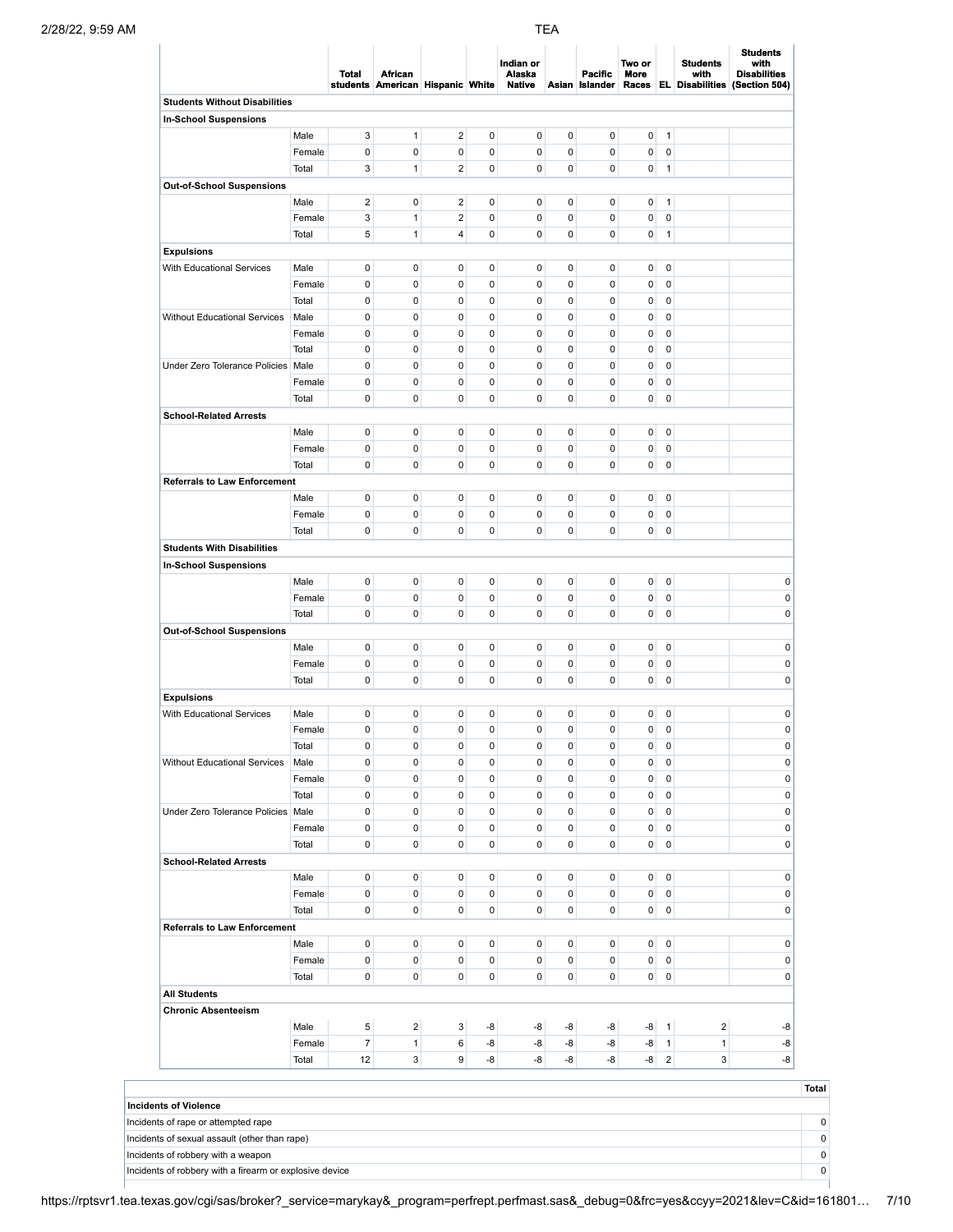|                                      |        |                  |                                                    |                         |                     |                                      | <b>TEA</b>     |                                  |                |                |                                                  |                                                                 |
|--------------------------------------|--------|------------------|----------------------------------------------------|-------------------------|---------------------|--------------------------------------|----------------|----------------------------------|----------------|----------------|--------------------------------------------------|-----------------------------------------------------------------|
|                                      |        | Total            | <b>African</b><br>students American Hispanic White |                         |                     | Indian or<br>Alaska<br><b>Native</b> |                | <b>Pacific</b><br>Asian Islander | Two or<br>More |                | <b>Students</b><br>with<br>Races EL Disabilities | <b>Students</b><br>with<br><b>Disabilities</b><br>(Section 504) |
| <b>Students Without Disabilities</b> |        |                  |                                                    |                         |                     |                                      |                |                                  |                |                |                                                  |                                                                 |
| In-School Suspensions                |        |                  |                                                    |                         |                     |                                      |                |                                  |                |                |                                                  |                                                                 |
|                                      | Male   | 3                | $\mathbf{1}$                                       | $\overline{\mathbf{c}}$ | 0                   | 0                                    | 0              | $\mathbf 0$                      | 0              | $\overline{1}$ |                                                  |                                                                 |
|                                      | Female | $\pmb{0}$        | $\pmb{0}$                                          | 0                       | 0                   | 0                                    | 0              | $\mathbf 0$                      | 0              | $\mathbf 0$    |                                                  |                                                                 |
|                                      |        |                  | $\mathbf{1}$                                       | $\mathbf 2$             | $\pmb{0}$           | 0                                    |                |                                  |                |                |                                                  |                                                                 |
|                                      | Total  | 3                |                                                    |                         |                     |                                      | 0              | $\mathbf 0$                      | $\mathbf 0$    | $\overline{1}$ |                                                  |                                                                 |
| Out-of-School Suspensions            |        |                  |                                                    |                         |                     |                                      |                |                                  |                |                |                                                  |                                                                 |
|                                      | Male   | $\sqrt{2}$       | $\pmb{0}$                                          | $\overline{\mathbf{c}}$ | 0                   | 0                                    | 0              | $\pmb{0}$                        | 0              | $\mathbf{1}$   |                                                  |                                                                 |
|                                      | Female | 3                | $\mathbf{1}$                                       | $\mathbf 2$             | $\pmb{0}$           | 0                                    | 0              | $\mathbf 0$                      | 0              | $\pmb{0}$      |                                                  |                                                                 |
|                                      | Total  | 5                | $\mathbf{1}$                                       | 4                       | $\mathsf{O}\xspace$ | 0                                    | $\pmb{0}$      | $\pmb{0}$                        | $\mathbf 0$    | $\overline{1}$ |                                                  |                                                                 |
| <b>Expulsions</b>                    |        |                  |                                                    |                         |                     |                                      |                |                                  |                |                |                                                  |                                                                 |
| With Educational Services            | Male   | $\pmb{0}$        | 0                                                  | 0                       | 0                   | 0                                    | 0              | $\pmb{0}$                        | 0              | $\mathbf 0$    |                                                  |                                                                 |
|                                      | Female | $\pmb{0}$        | $\pmb{0}$                                          | 0                       | 0                   | 0                                    | 0              | 0                                | 0              | $\mathbf 0$    |                                                  |                                                                 |
|                                      | Total  | 0                | $\pmb{0}$                                          | 0                       | $\pmb{0}$           | 0                                    | 0              | $\mathbf 0$                      | 0              | $\mathbf 0$    |                                                  |                                                                 |
|                                      |        |                  | $\pmb{0}$                                          | $\mathbf 0$             | $\pmb{0}$           |                                      |                |                                  |                |                |                                                  |                                                                 |
| Without Educational Services         | Male   | $\pmb{0}$        |                                                    |                         |                     | 0                                    | 0              | 0                                | 0              | $\mathbf 0$    |                                                  |                                                                 |
|                                      | Female | 0                | 0                                                  | 0                       | 0                   | 0                                    | 0              | $\mathbf 0$                      | 0              | $\mathbf 0$    |                                                  |                                                                 |
|                                      | Total  | $\pmb{0}$        | 0                                                  | 0                       | $\mathbf 0$         | 0                                    | 0              | 0                                | 0              | $\mathbf 0$    |                                                  |                                                                 |
| Under Zero Tolerance Policies Male   |        | 0                | $\pmb{0}$                                          | $\mathbf 0$             | 0                   | 0                                    | 0              | $\mathbf 0$                      | 0              | $\mathbf 0$    |                                                  |                                                                 |
|                                      | Female | $\pmb{0}$        | $\pmb{0}$                                          | $\mathbf 0$             | $\pmb{0}$           | 0                                    | 0              | 0                                | 0              | $\mathbf 0$    |                                                  |                                                                 |
|                                      | Total  | $\pmb{0}$        | 0                                                  | 0                       | $\pmb{0}$           | 0                                    | $\pmb{0}$      | $\mathbf 0$                      | 0              | $\mathbf 0$    |                                                  |                                                                 |
|                                      |        |                  |                                                    |                         |                     |                                      |                |                                  |                |                |                                                  |                                                                 |
| <b>School-Related Arrests</b>        |        |                  |                                                    |                         |                     |                                      |                |                                  |                |                |                                                  |                                                                 |
|                                      | Male   | $\pmb{0}$        | 0                                                  | 0                       | 0                   | 0                                    | 0              | $\mathbf 0$                      | 0              | $\pmb{0}$      |                                                  |                                                                 |
|                                      | Female | $\pmb{0}$        | 0                                                  | 0                       | $\pmb{0}$           | 0                                    | 0              | $\mathbf 0$                      | 0              | $\mathbf 0$    |                                                  |                                                                 |
|                                      | Total  | 0                | $\pmb{0}$                                          | $\pmb{0}$               | $\pmb{0}$           | 0                                    | 0              | $\mathbf 0$                      | $\mathbf 0$    | $\mathbf 0$    |                                                  |                                                                 |
| <b>Referrals to Law Enforcement</b>  |        |                  |                                                    |                         |                     |                                      |                |                                  |                |                |                                                  |                                                                 |
|                                      | Male   | $\pmb{0}$        | 0                                                  | 0                       | 0                   | 0                                    | 0              | $\pmb{0}$                        | 0              | $\pmb{0}$      |                                                  |                                                                 |
|                                      | Female | $\pmb{0}$        | $\pmb{0}$                                          | 0                       | $\pmb{0}$           | 0                                    | 0              | $\pmb{0}$                        | 0              | $\mathbf 0$    |                                                  |                                                                 |
|                                      |        |                  |                                                    |                         |                     |                                      |                |                                  |                |                |                                                  |                                                                 |
|                                      | Total  | 0                | 0                                                  | 0                       | $\pmb{0}$           | 0                                    | 0              | $\mathbf 0$                      | $\mathbf 0$    | $\mathbf 0$    |                                                  |                                                                 |
| <b>Students With Disabilities</b>    |        |                  |                                                    |                         |                     |                                      |                |                                  |                |                |                                                  |                                                                 |
| In-School Suspensions                |        |                  |                                                    |                         |                     |                                      |                |                                  |                |                |                                                  |                                                                 |
|                                      | Male   | $\pmb{0}$        | 0                                                  | 0                       | 0                   | 0                                    | 0              | $\mathbf 0$                      | 0              | $\pmb{0}$      |                                                  |                                                                 |
|                                      | Female | $\pmb{0}$        | 0                                                  | 0                       | $\pmb{0}$           | 0                                    | 0              | $\mathbf 0$                      | 0              | $\mathbf 0$    |                                                  |                                                                 |
|                                      | Total  | 0                | $\pmb{0}$                                          | 0                       | $\pmb{0}$           | 0                                    | 0              | $\mathbf 0$                      | $\mathbf 0$    | $\mathbf 0$    |                                                  |                                                                 |
|                                      |        |                  |                                                    |                         |                     |                                      |                |                                  |                |                |                                                  |                                                                 |
| <b>Out-of-School Suspensions</b>     |        |                  |                                                    |                         |                     |                                      |                |                                  |                |                |                                                  |                                                                 |
|                                      | Male   | $\pmb{0}$        | 0                                                  | 0                       | 0                   | 0                                    | 0              | $\mathbf 0$                      | 0              | $\pmb{0}$      |                                                  |                                                                 |
|                                      | Female | 0                | 0                                                  | 0                       | $\pmb{0}$           | 0                                    | 0              | $\pmb{0}$                        | 0              | $\mathbf 0$    |                                                  |                                                                 |
|                                      | Total  | 0                | 0                                                  | $\pmb{0}$               | $\pmb{0}$           | 0                                    | 0              | $\mathbf 0$                      | 0              | $\mathbf 0$    |                                                  |                                                                 |
| <b>Expulsions</b>                    |        |                  |                                                    |                         |                     |                                      |                |                                  |                |                |                                                  |                                                                 |
| With Educational Services            | Male   | $\mathbf 0$      | 0                                                  | $\mathbf 0$             | $\mathbf 0$         | 0                                    | $\mathbf 0$    | 0                                | 0              | $\mathbf 0$    |                                                  |                                                                 |
|                                      |        |                  |                                                    |                         |                     |                                      |                |                                  |                |                |                                                  |                                                                 |
|                                      | Female | 0                | 0                                                  | 0                       | 0                   | 0                                    | 0              | 0                                | 0              | 0              |                                                  |                                                                 |
|                                      | Total  | $\pmb{0}$        | 0                                                  | 0                       | $\mathbf 0$         | 0                                    | 0              | 0                                | 0              | $\mathbf 0$    |                                                  |                                                                 |
| <b>Without Educational Services</b>  | Male   | 0                | 0                                                  | 0                       | $\mathbf 0$         | 0                                    | 0              | $\mathbf 0$                      | 0              | $\mathbf 0$    |                                                  |                                                                 |
|                                      | Female | 0                | 0                                                  | 0                       | 0                   | 0                                    | 0              | 0                                | 0              | $\mathbf 0$    |                                                  |                                                                 |
|                                      | Total  | 0                | 0                                                  | 0                       | $\mathbf 0$         | 0                                    | 0              | $\mathbf 0$                      | 0              | $\mathbf 0$    |                                                  |                                                                 |
| Under Zero Tolerance Policies Male   |        | $\pmb{0}$        | 0                                                  | 0                       | 0                   | 0                                    | 0              | 0                                | 0              | $\mathbf 0$    |                                                  |                                                                 |
|                                      | Female | 0                | 0                                                  | 0                       | 0                   | 0                                    | 0              | $\mathbf 0$                      |                | $\mathbf 0$    |                                                  |                                                                 |
|                                      |        |                  |                                                    |                         |                     |                                      |                |                                  | 0              |                |                                                  |                                                                 |
|                                      | Total  | 0                | 0                                                  | 0                       | 0                   | 0                                    | 0              | 0                                | 0              | 0              |                                                  |                                                                 |
| <b>School-Related Arrests</b>        |        |                  |                                                    |                         |                     |                                      |                |                                  |                |                |                                                  |                                                                 |
|                                      | Male   | $\pmb{0}$        | 0                                                  | 0                       | $\mathbf 0$         | 0                                    | $\overline{0}$ | $\mathbf 0$                      | $\overline{0}$ | $\mathbf 0$    |                                                  |                                                                 |
|                                      | Female | 0                | 0                                                  | 0                       | 0                   | 0                                    | 0              | $\mathbf 0$                      | 0              | $\pmb{0}$      |                                                  |                                                                 |
|                                      | Total  | 0                | 0                                                  | 0                       | 0                   | $\overline{0}$                       | $\overline{0}$ | $\mathbf 0$                      | $\overline{0}$ | $\mathbf 0$    |                                                  |                                                                 |
|                                      |        |                  |                                                    |                         |                     |                                      |                |                                  |                |                |                                                  |                                                                 |
| <b>Referrals to Law Enforcement</b>  |        |                  |                                                    |                         |                     |                                      |                |                                  |                |                |                                                  |                                                                 |
|                                      | Male   | $\pmb{0}$        | 0                                                  | 0                       | $\mathbf 0$         | $\overline{0}$                       | $\overline{0}$ | $\pmb{0}$                        | $\overline{0}$ | $\mathbf 0$    |                                                  |                                                                 |
|                                      | Female | $\pmb{0}$        | 0                                                  | 0                       | 0                   | 0                                    | 0              | $\pmb{0}$                        | 0              | $\mathbf 0$    |                                                  |                                                                 |
|                                      | Total  | 0                | 0                                                  | 0                       | 0                   | $\overline{0}$                       | $\overline{0}$ | $\mathbf 0$                      | $\overline{0}$ | $\mathbf 0$    |                                                  |                                                                 |
|                                      |        |                  |                                                    |                         |                     |                                      |                |                                  |                |                |                                                  |                                                                 |
|                                      |        |                  |                                                    |                         |                     |                                      |                |                                  |                |                |                                                  |                                                                 |
| <b>All Students</b>                  |        |                  |                                                    |                         |                     |                                      |                |                                  |                |                |                                                  |                                                                 |
| <b>Chronic Absenteeism</b>           |        |                  |                                                    |                         |                     |                                      |                |                                  |                |                |                                                  |                                                                 |
|                                      | Male   | 5                | $\mathbf{2}$                                       | 3                       | -8                  | -8                                   | -8             | -8                               |                | $-8$ 1         | $\overline{2}$                                   |                                                                 |
|                                      | Female | $\boldsymbol{7}$ | $\mathbf{1}$                                       | 6                       | -8                  | -8                                   | -8             | -8                               | -8             | $\overline{1}$ | $\mathbf{1}$                                     |                                                                 |

Incidents of rape or attempted rape 0 Incidents of sexual assault (other than rape) 0

**Total**

Incidents of robbery with a weapon 0

Incidents of robbery with a firearm or explosive device 0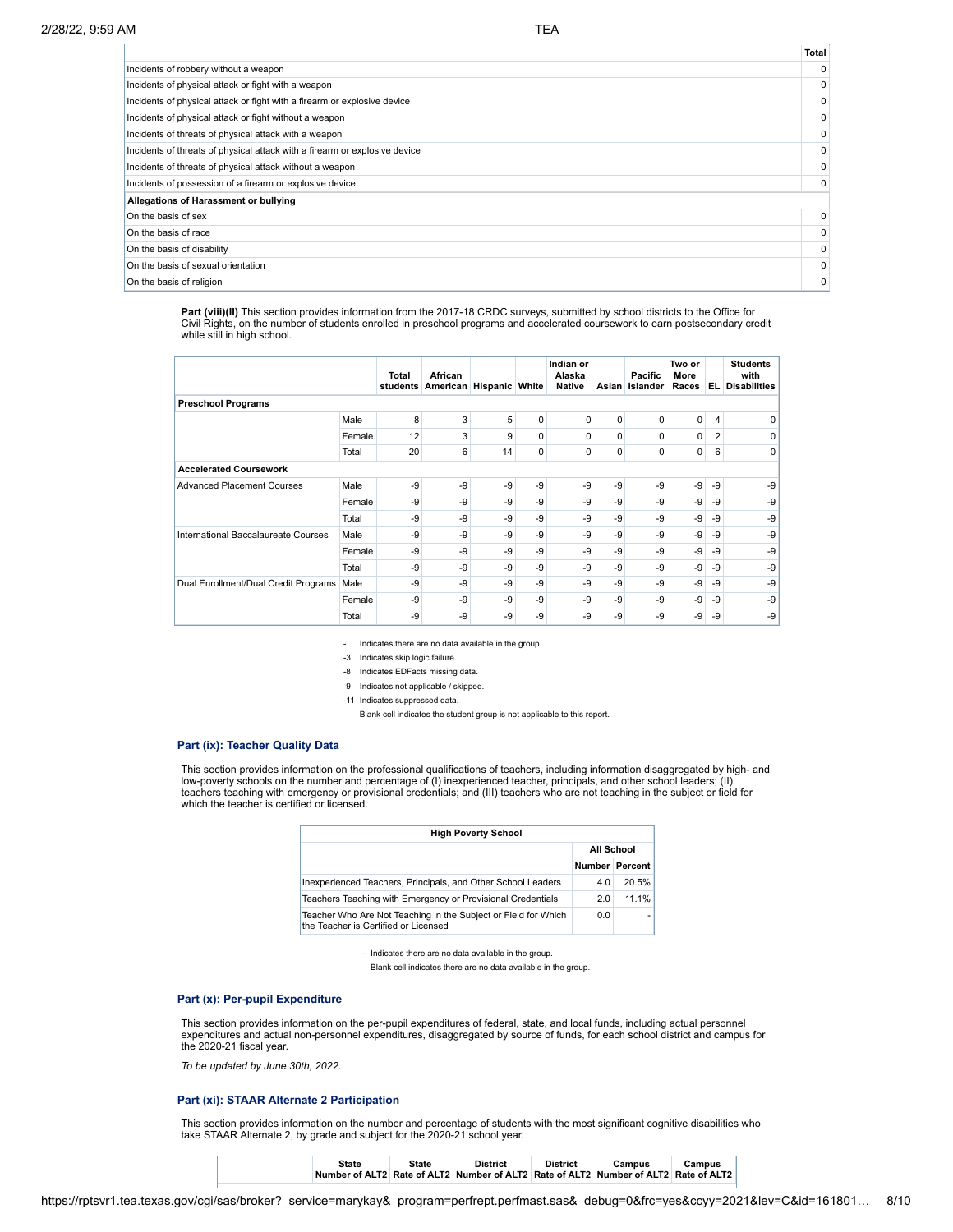**Total**

|                                                                            | πυιαι       |
|----------------------------------------------------------------------------|-------------|
| Incidents of robbery without a weapon                                      | $\Omega$    |
| Incidents of physical attack or fight with a weapon                        | 0           |
| Incidents of physical attack or fight with a firearm or explosive device   | 0           |
| Incidents of physical attack or fight without a weapon                     | 0           |
| Incidents of threats of physical attack with a weapon                      | 0           |
| Incidents of threats of physical attack with a firearm or explosive device | $\mathbf 0$ |
| Incidents of threats of physical attack without a weapon                   | 0           |
| Incidents of possession of a firearm or explosive device                   | 0           |
| Allegations of Harassment or bullying                                      |             |
| On the basis of sex                                                        | 0           |
| On the basis of race                                                       | 0           |
| On the basis of disability                                                 | 0           |
| On the basis of sexual orientation                                         | $\mathbf 0$ |
| On the basis of religion                                                   | 0           |

**Part (viii)(II)** This section provides information from the 2017-18 CRDC surveys, submitted by school districts to the Office for Civil Rights, on the number of students enrolled in preschool programs and accelerated coursework to earn postsecondary credit while still in high school.

|                                      |        | Total<br>students | African<br>American | <b>Hispanic White</b> |             | Indian or<br>Alaska<br><b>Native</b> | Asian    | Pacific<br>Islander | Two or<br>More<br>Races | EL.  | <b>Students</b><br>with<br><b>Disabilities</b> |
|--------------------------------------|--------|-------------------|---------------------|-----------------------|-------------|--------------------------------------|----------|---------------------|-------------------------|------|------------------------------------------------|
| <b>Preschool Programs</b>            |        |                   |                     |                       |             |                                      |          |                     |                         |      |                                                |
|                                      | Male   | 8                 | 3                   | 5                     | $\mathbf 0$ | 0                                    | 0        | 0                   | $\overline{0}$          | 4    | 0                                              |
|                                      | Female | 12                | 3                   | 9                     | $\Omega$    | $\Omega$                             | $\Omega$ | 0                   | 0                       | 2    | 0                                              |
|                                      | Total  | 20                | 6                   | 14                    | $\mathbf 0$ | 0                                    | 0        | 0                   | 0                       | 6    | 0                                              |
| <b>Accelerated Coursework</b>        |        |                   |                     |                       |             |                                      |          |                     |                         |      |                                                |
| <b>Advanced Placement Courses</b>    | Male   | -9                | -9                  | -9                    | -9          | -9                                   | -9       | -9                  | -9                      | $-9$ | -9                                             |
|                                      | Female | -9                | $-9$                | -9                    | -9          | $-9$                                 | -9       | -9                  | -9                      | $-9$ | $-9$                                           |
|                                      | Total  | -9                | -9                  | -9                    | -9          | $-9$                                 | -9       | -9                  | -9                      | $-9$ | -9                                             |
| International Baccalaureate Courses  | Male   | -9                | -9                  | -9                    | -9          | $-9$                                 | -9       | $-9$                | -9                      | -9   | $-9$                                           |
|                                      | Female | -9                | -9                  | -9                    | -9          | $-9$                                 | $-9$     | -9                  | -9                      | $-9$ | -9                                             |
|                                      | Total  | -9                | -9                  | -9                    | -9          | $-9$                                 | $-9$     | -9                  | $-9$                    | $-9$ | -9                                             |
| Dual Enrollment/Dual Credit Programs | Male   | -9                | -9                  | -9                    | -9          | $-9$                                 | -9       | -9                  | -9                      | $-9$ | $-9$                                           |
|                                      | Female | $-9$              | $-9$                | -9                    | -9          | $-9$                                 | $-9$     | $-9$                | -9                      | -9   | $-9$                                           |
|                                      | Total  | -9                | $-9$                | -9                    | $-9$        | $-9$                                 | -9       | -9                  | $-9$                    | -9   | -9                                             |

- Indicates there are no data available in the group.

-3 Indicates skip logic failure.

-8 Indicates EDFacts missing data.

-9 Indicates not applicable / skipped.

-11 Indicates suppressed data.

Blank cell indicates the student group is not applicable to this report.

#### **Part (ix): Teacher Quality Data**

This section provides information on the professional qualifications of teachers, including information disaggregated by high- and<br>low-poverty schools on the number and percentage of (I) inexperienced teacher, principals, which the teacher is certified or licensed.

| <b>High Poverty School</b>                                                                             |                       |       |  |  |  |  |  |  |
|--------------------------------------------------------------------------------------------------------|-----------------------|-------|--|--|--|--|--|--|
|                                                                                                        | All School            |       |  |  |  |  |  |  |
|                                                                                                        | <b>Number Percent</b> |       |  |  |  |  |  |  |
| Inexperienced Teachers, Principals, and Other School Leaders                                           | 4.0                   | 20.5% |  |  |  |  |  |  |
| Teachers Teaching with Emergency or Provisional Credentials                                            | 2.0                   | 11 1% |  |  |  |  |  |  |
| Teacher Who Are Not Teaching in the Subject or Field for Which<br>the Teacher is Certified or Licensed | 0.0                   | ۰     |  |  |  |  |  |  |

<sup>-</sup> Indicates there are no data available in the group.

Blank cell indicates there are no data available in the group.

# **Part (x): Per-pupil Expenditure**

This section provides information on the per-pupil expenditures of federal, state, and local funds, including actual personnel expenditures and actual non-personnel expenditures, disaggregated by source of funds, for each school district and campus for the 2020-21 fiscal year.

*To be updated by June 30th, 2022.*

## **Part (xi): STAAR Alternate 2 Participation**

This section provides information on the number and percentage of students with the most significant cognitive disabilities who take STAAR Alternate 2, by grade and subject for the 2020-21 school year.

| State | State | <b>District</b> | <b>District</b> | Campus                                                                              | Campus |  |
|-------|-------|-----------------|-----------------|-------------------------------------------------------------------------------------|--------|--|
|       |       |                 |                 | Number of ALT2 Rate of ALT2 Number of ALT2 Rate of ALT2 Number of ALT2 Rate of ALT2 |        |  |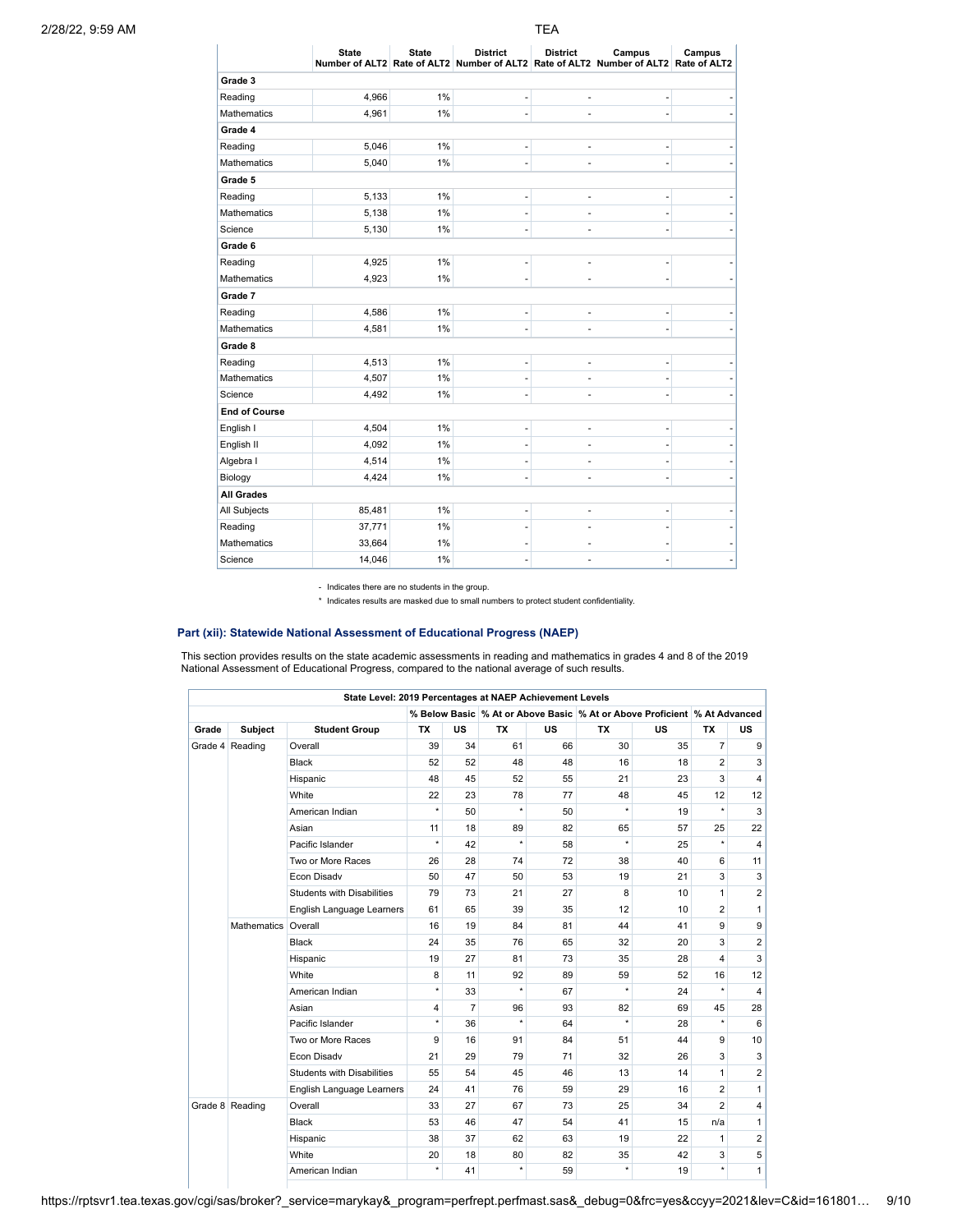|                      | <b>State</b> | <b>State</b> | <b>District</b> | <b>District</b> | Campus<br>Number of ALT2 Rate of ALT2 Number of ALT2 Rate of ALT2 Number of ALT2 Rate of ALT2 | Campus |
|----------------------|--------------|--------------|-----------------|-----------------|-----------------------------------------------------------------------------------------------|--------|
| Grade 3              |              |              |                 |                 |                                                                                               |        |
| Reading              | 4,966        | 1%           | i,              |                 |                                                                                               |        |
| <b>Mathematics</b>   | 4,961        | 1%           | í.              |                 |                                                                                               |        |
| Grade 4              |              |              |                 |                 |                                                                                               |        |
| Reading              | 5,046        | 1%           | ۰               |                 |                                                                                               |        |
| Mathematics          | 5,040        | 1%           | ä,              |                 |                                                                                               |        |
| Grade 5              |              |              |                 |                 |                                                                                               |        |
| Reading              | 5,133        | 1%           | ۰               |                 |                                                                                               |        |
| <b>Mathematics</b>   | 5,138        | 1%           | ٠               |                 |                                                                                               |        |
| Science              | 5,130        | 1%           | -               | ÷               |                                                                                               |        |
| Grade 6              |              |              |                 |                 |                                                                                               |        |
| Reading              | 4,925        | 1%           | ۰               |                 |                                                                                               |        |
| Mathematics          | 4,923        | 1%           | ۰               |                 |                                                                                               |        |
| Grade 7              |              |              |                 |                 |                                                                                               |        |
| Reading              | 4,586        | 1%           | ٠               | ٠               |                                                                                               |        |
| <b>Mathematics</b>   | 4,581        | 1%           | -               | ٠               |                                                                                               |        |
| Grade 8              |              |              |                 |                 |                                                                                               |        |
| Reading              | 4,513        | 1%           | -               | ٠               | ٠                                                                                             |        |
| <b>Mathematics</b>   | 4,507        | 1%           | ۰               |                 |                                                                                               |        |
| Science              | 4,492        | 1%           | -               | ۰               |                                                                                               |        |
| <b>End of Course</b> |              |              |                 |                 |                                                                                               |        |
| English I            | 4,504        | 1%           | ۰               |                 |                                                                                               |        |
| English II           | 4,092        | 1%           | ٠               |                 |                                                                                               |        |
| Algebra I            | 4,514        | 1%           | -               |                 |                                                                                               |        |
| Biology              | 4,424        | 1%           | ÷               |                 |                                                                                               |        |
| <b>All Grades</b>    |              |              |                 |                 |                                                                                               |        |
| All Subjects         | 85,481       | 1%           | ۰               |                 |                                                                                               |        |
| Reading              | 37,771       | 1%           | ٠               |                 |                                                                                               |        |
| <b>Mathematics</b>   | 33,664       | 1%           | ۰               |                 |                                                                                               |        |
| Science              | 14,046       | 1%           |                 |                 |                                                                                               |        |
|                      |              |              |                 |                 |                                                                                               |        |

- Indicates there are no students in the group.

\* Indicates results are masked due to small numbers to protect student confidentiality.

# **Part (xii): Statewide National Assessment of Educational Progress (NAEP)**

This section provides results on the state academic assessments in reading and mathematics in grades 4 and 8 of the 2019<br>National Assessment of Educational Progress, compared to the national average of such results.

|       |                     | State Level: 2019 Percentages at NAEP Achievement Levels |           |                |           |           |                                                                          |           |                         |                |
|-------|---------------------|----------------------------------------------------------|-----------|----------------|-----------|-----------|--------------------------------------------------------------------------|-----------|-------------------------|----------------|
|       |                     |                                                          |           |                |           |           | % Below Basic % At or Above Basic % At or Above Proficient % At Advanced |           |                         |                |
| Grade | Subject             | <b>Student Group</b>                                     | <b>TX</b> | <b>US</b>      | <b>TX</b> | <b>US</b> | <b>TX</b>                                                                | <b>US</b> | <b>TX</b>               | <b>US</b>      |
|       | Grade 4 Reading     | Overall                                                  | 39        | 34             | 61        | 66        | 30                                                                       | 35        | $\overline{7}$          | 9              |
|       |                     | Black                                                    | 52        | 52             | 48        | 48        | 16                                                                       | 18        | $\overline{2}$          | 3              |
|       |                     | Hispanic                                                 | 48        | 45             | 52        | 55        | 21                                                                       | 23        | 3                       | 4              |
|       |                     | White                                                    | 22        | 23             | 78        | 77        | 48                                                                       | 45        | 12                      | 12             |
|       |                     | American Indian                                          | $\star$   | 50             | $\star$   | 50        | $\star$                                                                  | 19        | $\star$                 | 3              |
|       |                     | Asian                                                    | 11        | 18             | 89        | 82        | 65                                                                       | 57        | 25                      | 22             |
|       |                     | Pacific Islander                                         | $\star$   | 42             | $^\star$  | 58        | $\star$                                                                  | 25        | $\star$                 | $\overline{4}$ |
|       |                     | Two or More Races                                        | 26        | 28             | 74        | 72        | 38                                                                       | 40        | 6                       | 11             |
|       |                     | Econ Disady                                              | 50        | 47             | 50        | 53        | 19                                                                       | 21        | 3                       | 3              |
|       |                     | <b>Students with Disabilities</b>                        | 79        | 73             | 21        | 27        | 8                                                                        | 10        | $\mathbf{1}$            | $\overline{2}$ |
|       |                     | English Language Learners                                | 61        | 65             | 39        | 35        | 12                                                                       | 10        | $\overline{2}$          | $\mathbf{1}$   |
|       | Mathematics Overall |                                                          | 16        | 19             | 84        | 81        | 44                                                                       | 41        | 9                       | 9              |
|       |                     | Black                                                    | 24        | 35             | 76        | 65        | 32                                                                       | 20        | 3                       | $\overline{2}$ |
|       |                     | Hispanic                                                 | 19        | 27             | 81        | 73        | 35                                                                       | 28        | $\overline{\mathbf{A}}$ | 3              |
|       |                     | White                                                    | 8         | 11             | 92        | 89        | 59                                                                       | 52        | 16                      | 12             |
|       |                     | American Indian                                          | $\star$   | 33             | $\star$   | 67        | $\star$                                                                  | 24        | $\star$                 | $\overline{4}$ |
|       |                     | Asian                                                    | 4         | $\overline{7}$ | 96        | 93        | 82                                                                       | 69        | 45                      | 28             |
|       |                     | Pacific Islander                                         | $^\star$  | 36             | $\star$   | 64        | $\star$                                                                  | 28        | $\star$                 | 6              |
|       |                     | Two or More Races                                        | 9         | 16             | 91        | 84        | 51                                                                       | 44        | 9                       | 10             |
|       |                     | Econ Disadv                                              | 21        | 29             | 79        | 71        | 32                                                                       | 26        | 3                       | 3              |
|       |                     | <b>Students with Disabilities</b>                        | 55        | 54             | 45        | 46        | 13                                                                       | 14        | $\mathbf{1}$            | $\overline{2}$ |
|       |                     | English Language Learners                                | 24        | 41             | 76        | 59        | 29                                                                       | 16        | $\overline{2}$          | $\mathbf{1}$   |
|       | Grade 8 Reading     | Overall                                                  | 33        | 27             | 67        | 73        | 25                                                                       | 34        | $\overline{2}$          | 4              |
|       |                     | Black                                                    | 53        | 46             | 47        | 54        | 41                                                                       | 15        | n/a                     | $\mathbf{1}$   |
|       |                     | Hispanic                                                 | 38        | 37             | 62        | 63        | 19                                                                       | 22        | $\mathbf{1}$            | $\overline{2}$ |
|       |                     | White                                                    | 20        | 18             | 80        | 82        | 35                                                                       | 42        | 3                       | 5              |
|       |                     | American Indian                                          | $\star$   | 41             | $^\star$  | 59        | $\star$                                                                  | 19        | $\star$                 | $\mathbf{1}$   |